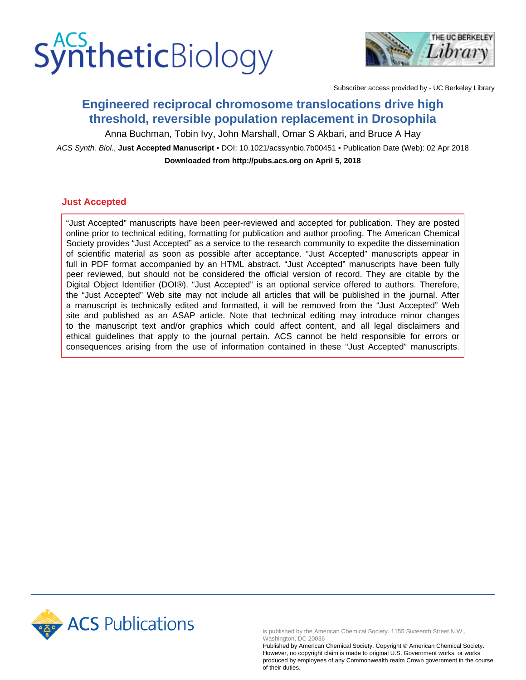



Subscriber access provided by - UC Berkeley Library

## **Engineered reciprocal chromosome translocations drive high threshold, reversible population replacement in Drosophila**

Anna Buchman, Tobin Ivy, John Marshall, Omar S Akbari, and Bruce A Hay ACS Synth. Biol., **Just Accepted Manuscript** • DOI: 10.1021/acssynbio.7b00451 • Publication Date (Web): 02 Apr 2018

**Downloaded from http://pubs.acs.org on April 5, 2018**

#### **Just Accepted**

"Just Accepted" manuscripts have been peer-reviewed and accepted for publication. They are posted online prior to technical editing, formatting for publication and author proofing. The American Chemical Society provides "Just Accepted" as a service to the research community to expedite the dissemination of scientific material as soon as possible after acceptance. "Just Accepted" manuscripts appear in full in PDF format accompanied by an HTML abstract. "Just Accepted" manuscripts have been fully peer reviewed, but should not be considered the official version of record. They are citable by the Digital Object Identifier (DOI®). "Just Accepted" is an optional service offered to authors. Therefore, the "Just Accepted" Web site may not include all articles that will be published in the journal. After a manuscript is technically edited and formatted, it will be removed from the "Just Accepted" Web site and published as an ASAP article. Note that technical editing may introduce minor changes to the manuscript text and/or graphics which could affect content, and all legal disclaimers and ethical guidelines that apply to the journal pertain. ACS cannot be held responsible for errors or consequences arising from the use of information contained in these "Just Accepted" manuscripts.



is published by the American Chemical Society. 1155 Sixteenth Street N.W., Washington, DC 20036

Published by American Chemical Society. Copyright © American Chemical Society. However, no copyright claim is made to original U.S. Government works, or works produced by employees of any Commonwealth realm Crown government in the course of their duties.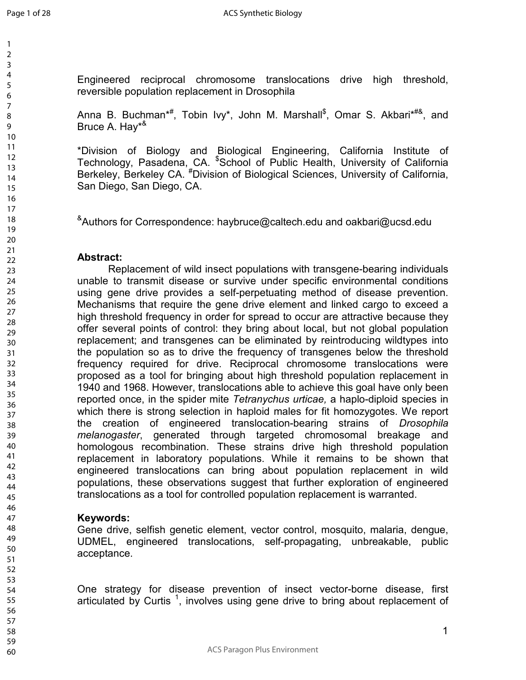Engineered reciprocal chromosome translocations drive high threshold, reversible population replacement in Drosophila

Anna B. Buchman\*<sup>#</sup>, Tobin Ivy\*, John M. Marshall<sup>\$</sup>, Omar S. Akbari\*<sup>#&</sup>, and Bruce A. Hay<sup>\*&</sup>

\*Division of Biology and Biological Engineering, California Institute of Technology, Pasadena, CA. <sup>\$</sup>School of Public Health, University of California Berkeley, Berkeley CA. #Division of Biological Sciences, University of California, San Diego, San Diego, CA.

&Authors for Correspondence: haybruce@caltech.edu and oakbari@ucsd.edu

#### **Abstract:**

 Replacement of wild insect populations with transgene-bearing individuals unable to transmit disease or survive under specific environmental conditions using gene drive provides a self-perpetuating method of disease prevention. Mechanisms that require the gene drive element and linked cargo to exceed a high threshold frequency in order for spread to occur are attractive because they offer several points of control: they bring about local, but not global population replacement; and transgenes can be eliminated by reintroducing wildtypes into the population so as to drive the frequency of transgenes below the threshold frequency required for drive. Reciprocal chromosome translocations were proposed as a tool for bringing about high threshold population replacement in 1940 and 1968. However, translocations able to achieve this goal have only been reported once, in the spider mite *Tetranychus urticae,* a haplo-diploid species in which there is strong selection in haploid males for fit homozygotes. We report the creation of engineered translocation-bearing strains of *Drosophila melanogaster*, generated through targeted chromosomal breakage and homologous recombination. These strains drive high threshold population replacement in laboratory populations. While it remains to be shown that engineered translocations can bring about population replacement in wild populations, these observations suggest that further exploration of engineered translocations as a tool for controlled population replacement is warranted.

#### **Keywords:**

Gene drive, selfish genetic element, vector control, mosquito, malaria, dengue, UDMEL, engineered translocations, self-propagating, unbreakable, public acceptance.

One strategy for disease prevention of insect vector-borne disease, first articulated by Curtis<sup>1</sup>, involves using gene drive to bring about replacement of

ACS Paragon Plus Environment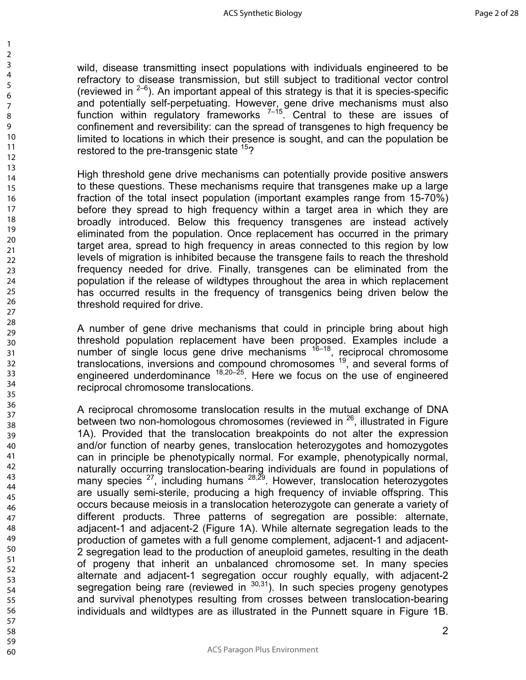wild, disease transmitting insect populations with individuals engineered to be refractory to disease transmission, but still subject to traditional vector control (reviewed in  $2-6$ ). An important appeal of this strategy is that it is species-specific and potentially self-perpetuating. However, gene drive mechanisms must also function within regulatory frameworks  $7-15$  Central to these are issues of confinement and reversibility: can the spread of transgenes to high frequency be limited to locations in which their presence is sought, and can the population be restored to the pre-transgenic state <sup>15</sup>?

High threshold gene drive mechanisms can potentially provide positive answers to these questions. These mechanisms require that transgenes make up a large fraction of the total insect population (important examples range from 15-70%) before they spread to high frequency within a target area in which they are broadly introduced. Below this frequency transgenes are instead actively eliminated from the population. Once replacement has occurred in the primary target area, spread to high frequency in areas connected to this region by low levels of migration is inhibited because the transgene fails to reach the threshold frequency needed for drive. Finally, transgenes can be eliminated from the population if the release of wildtypes throughout the area in which replacement has occurred results in the frequency of transgenics being driven below the threshold required for drive.

A number of gene drive mechanisms that could in principle bring about high threshold population replacement have been proposed. Examples include a number of single locus gene drive mechanisms  $16-18$ , reciprocal chromosome translocations, inversions and compound chromosomes <sup>19</sup>, and several forms of engineered underdominance  $18,20-25$ . Here we focus on the use of engineered reciprocal chromosome translocations.

A reciprocal chromosome translocation results in the mutual exchange of DNA between two non-homologous chromosomes (reviewed in <sup>26</sup>, illustrated in Figure 1A). Provided that the translocation breakpoints do not alter the expression and/or function of nearby genes, translocation heterozygotes and homozygotes can in principle be phenotypically normal. For example, phenotypically normal, naturally occurring translocation-bearing individuals are found in populations of many species  $27$ , including humans  $28,29$ . However, translocation heterozygotes are usually semi-sterile, producing a high frequency of inviable offspring. This occurs because meiosis in a translocation heterozygote can generate a variety of different products. Three patterns of segregation are possible: alternate, adjacent-1 and adjacent-2 (Figure 1A). While alternate segregation leads to the production of gametes with a full genome complement, adjacent-1 and adjacent-2 segregation lead to the production of aneuploid gametes, resulting in the death of progeny that inherit an unbalanced chromosome set. In many species alternate and adjacent-1 segregation occur roughly equally, with adjacent-2 segregation being rare (reviewed in  $30,31$ ). In such species progeny genotypes and survival phenotypes resulting from crosses between translocation-bearing individuals and wildtypes are as illustrated in the Punnett square in Figure 1B.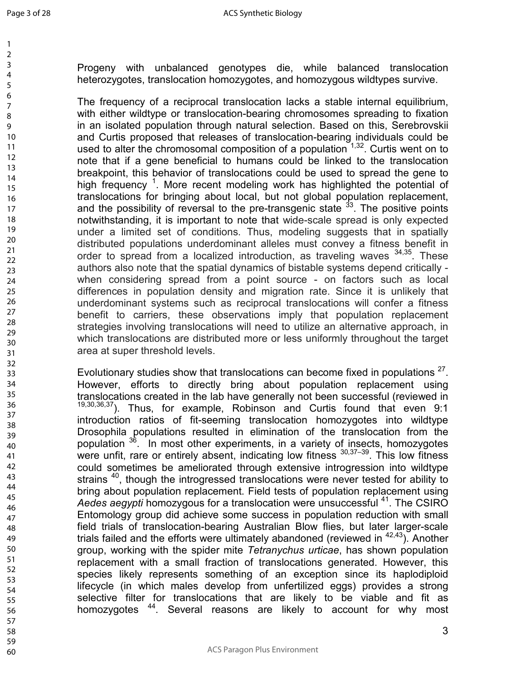Progeny with unbalanced genotypes die, while balanced translocation heterozygotes, translocation homozygotes, and homozygous wildtypes survive.

The frequency of a reciprocal translocation lacks a stable internal equilibrium, with either wildtype or translocation-bearing chromosomes spreading to fixation in an isolated population through natural selection. Based on this, Serebrovskii and Curtis proposed that releases of translocation-bearing individuals could be used to alter the chromosomal composition of a population  $1,32$ . Curtis went on to note that if a gene beneficial to humans could be linked to the translocation breakpoint, this behavior of translocations could be used to spread the gene to high frequency<sup>1</sup>. More recent modeling work has highlighted the potential of translocations for bringing about local, but not global population replacement, and the possibility of reversal to the pre-transgenic state  $33$ . The positive points notwithstanding, it is important to note that wide-scale spread is only expected under a limited set of conditions. Thus, modeling suggests that in spatially distributed populations underdominant alleles must convey a fitness benefit in order to spread from a localized introduction, as traveling waves <sup>34,35</sup>. These authors also note that the spatial dynamics of bistable systems depend critically when considering spread from a point source - on factors such as local differences in population density and migration rate. Since it is unlikely that underdominant systems such as reciprocal translocations will confer a fitness benefit to carriers, these observations imply that population replacement strategies involving translocations will need to utilize an alternative approach, in which translocations are distributed more or less uniformly throughout the target area at super threshold levels.

Evolutionary studies show that translocations can become fixed in populations  $27$ . However, efforts to directly bring about population replacement using translocations created in the lab have generally not been successful (reviewed in 19,30,36,37). Thus, for example, Robinson and Curtis found that even 9:1 introduction ratios of fit-seeming translocation homozygotes into wildtype Drosophila populations resulted in elimination of the translocation from the population <sup>36</sup>. In most other experiments, in a variety of insects, homozygotes were unfit, rare or entirely absent, indicating low fitness  $30,37-39$ . This low fitness could sometimes be ameliorated through extensive introgression into wildtype strains <sup>40</sup>, though the introgressed translocations were never tested for ability to bring about population replacement. Field tests of population replacement using Aedes aegypti homozygous for a translocation were unsuccessful <sup>41</sup>. The CSIRO Entomology group did achieve some success in population reduction with small field trials of translocation-bearing Australian Blow flies, but later larger-scale trials failed and the efforts were ultimately abandoned (reviewed in  $42,43$ ). Another group, working with the spider mite *Tetranychus urticae*, has shown population replacement with a small fraction of translocations generated. However, this species likely represents something of an exception since its haplodiploid lifecycle (in which males develop from unfertilized eggs) provides a strong selective filter for translocations that are likely to be viable and fit as homozygotes <sup>44</sup>. Several reasons are likely to account for why most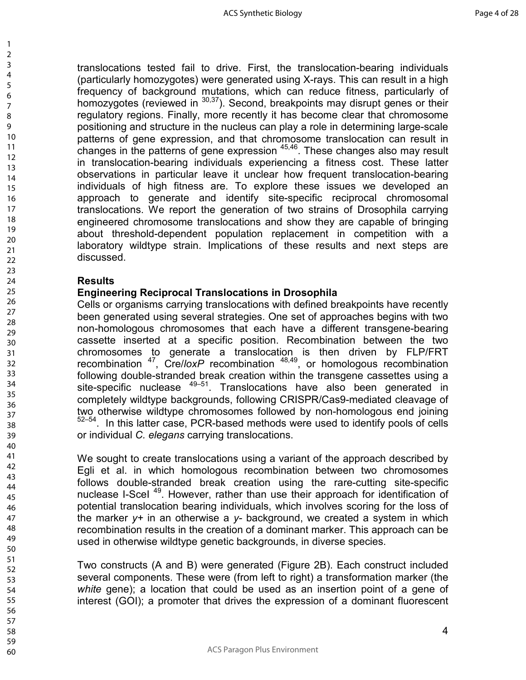translocations tested fail to drive. First, the translocation-bearing individuals (particularly homozygotes) were generated using X-rays. This can result in a high frequency of background mutations, which can reduce fitness, particularly of homozygotes (reviewed in  $30,37$ ). Second, breakpoints may disrupt genes or their regulatory regions. Finally, more recently it has become clear that chromosome positioning and structure in the nucleus can play a role in determining large-scale patterns of gene expression, and that chromosome translocation can result in changes in the patterns of gene expression  $45,46$ . These changes also may result in translocation-bearing individuals experiencing a fitness cost. These latter observations in particular leave it unclear how frequent translocation-bearing individuals of high fitness are. To explore these issues we developed an approach to generate and identify site-specific reciprocal chromosomal translocations. We report the generation of two strains of Drosophila carrying engineered chromosome translocations and show they are capable of bringing about threshold-dependent population replacement in competition with a laboratory wildtype strain. Implications of these results and next steps are discussed.

### **Results**

### **Engineering Reciprocal Translocations in Drosophila**

Cells or organisms carrying translocations with defined breakpoints have recently been generated using several strategies. One set of approaches begins with two non-homologous chromosomes that each have a different transgene-bearing cassette inserted at a specific position. Recombination between the two chromosomes to generate a translocation is then driven by FLP/FRT recombination <sup>47</sup>, Cre/*loxP* recombination 48,49, or homologous recombination following double-stranded break creation within the transgene cassettes using a site-specific nuclease <sup>49–51</sup>. Translocations have also been generated in completely wildtype backgrounds, following CRISPR/Cas9-mediated cleavage of two otherwise wildtype chromosomes followed by non-homologous end joining  $52-54$ . In this latter case, PCR-based methods were used to identify pools of cells or individual *C. elegans* carrying translocations.

We sought to create translocations using a variant of the approach described by Egli et al. in which homologous recombination between two chromosomes follows double-stranded break creation using the rare-cutting site-specific nuclease I-SceI <sup>49</sup>. However, rather than use their approach for identification of potential translocation bearing individuals, which involves scoring for the loss of the marker *y+* in an otherwise a *y-* background, we created a system in which recombination results in the creation of a dominant marker. This approach can be used in otherwise wildtype genetic backgrounds, in diverse species.

Two constructs (A and B) were generated (Figure 2B). Each construct included several components. These were (from left to right) a transformation marker (the *white* gene); a location that could be used as an insertion point of a gene of interest (GOI); a promoter that drives the expression of a dominant fluorescent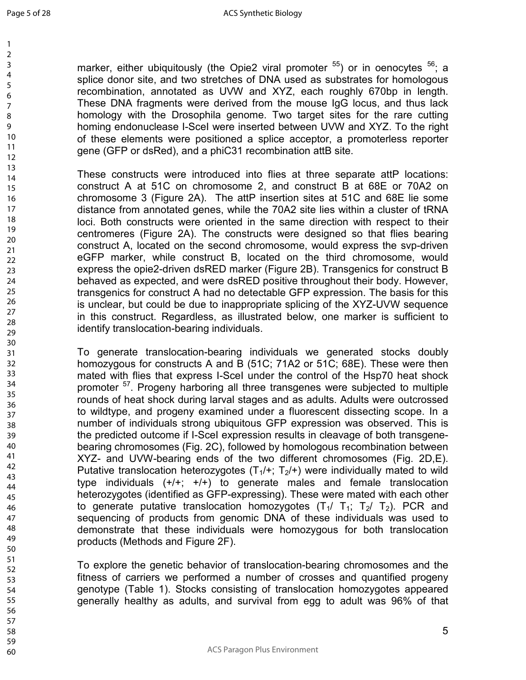marker, either ubiquitously (the Opie2 viral promoter  $55$ ) or in oenocytes  $56$ ; a splice donor site, and two stretches of DNA used as substrates for homologous recombination, annotated as UVW and XYZ, each roughly 670bp in length. These DNA fragments were derived from the mouse IgG locus, and thus lack homology with the Drosophila genome. Two target sites for the rare cutting homing endonuclease I-SceI were inserted between UVW and XYZ. To the right of these elements were positioned a splice acceptor, a promoterless reporter gene (GFP or dsRed), and a phiC31 recombination attB site.

These constructs were introduced into flies at three separate attP locations: construct A at 51C on chromosome 2, and construct B at 68E or 70A2 on chromosome 3 (Figure 2A). The attP insertion sites at 51C and 68E lie some distance from annotated genes, while the 70A2 site lies within a cluster of tRNA loci. Both constructs were oriented in the same direction with respect to their centromeres (Figure 2A). The constructs were designed so that flies bearing construct A, located on the second chromosome, would express the svp-driven eGFP marker, while construct B, located on the third chromosome, would express the opie2-driven dsRED marker (Figure 2B). Transgenics for construct B behaved as expected, and were dsRED positive throughout their body. However, transgenics for construct A had no detectable GFP expression. The basis for this is unclear, but could be due to inappropriate splicing of the XYZ-UVW sequence in this construct. Regardless, as illustrated below, one marker is sufficient to identify translocation-bearing individuals.

To generate translocation-bearing individuals we generated stocks doubly homozygous for constructs A and B (51C; 71A2 or 51C; 68E). These were then mated with flies that express I-SceI under the control of the Hsp70 heat shock promoter <sup>57</sup>. Progeny harboring all three transgenes were subjected to multiple rounds of heat shock during larval stages and as adults. Adults were outcrossed to wildtype, and progeny examined under a fluorescent dissecting scope. In a number of individuals strong ubiquitous GFP expression was observed. This is the predicted outcome if I-SceI expression results in cleavage of both transgenebearing chromosomes (Fig. 2C), followed by homologous recombination between XYZ- and UVW-bearing ends of the two different chromosomes (Fig. 2D,E). Putative translocation heterozygotes  $(T_1/+)$ ;  $T_2/+)$  were individually mated to wild type individuals (+/+; +/+) to generate males and female translocation heterozygotes (identified as GFP-expressing). These were mated with each other to generate putative translocation homozygotes  $(T_1/T_1; T_2/T_2)$ . PCR and sequencing of products from genomic DNA of these individuals was used to demonstrate that these individuals were homozygous for both translocation products (Methods and Figure 2F).

To explore the genetic behavior of translocation-bearing chromosomes and the fitness of carriers we performed a number of crosses and quantified progeny genotype (Table 1). Stocks consisting of translocation homozygotes appeared generally healthy as adults, and survival from egg to adult was 96% of that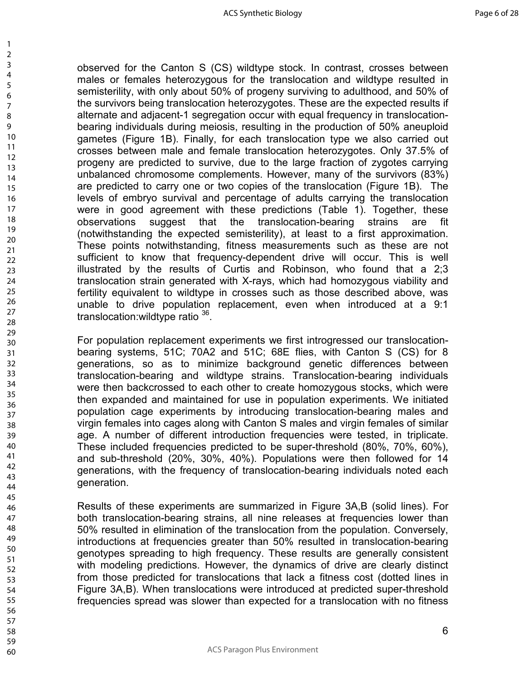observed for the Canton S (CS) wildtype stock. In contrast, crosses between males or females heterozygous for the translocation and wildtype resulted in semisterility, with only about 50% of progeny surviving to adulthood, and 50% of the survivors being translocation heterozygotes. These are the expected results if alternate and adjacent-1 segregation occur with equal frequency in translocationbearing individuals during meiosis, resulting in the production of 50% aneuploid gametes (Figure 1B). Finally, for each translocation type we also carried out crosses between male and female translocation heterozygotes. Only 37.5% of progeny are predicted to survive, due to the large fraction of zygotes carrying unbalanced chromosome complements. However, many of the survivors (83%) are predicted to carry one or two copies of the translocation (Figure 1B). The levels of embryo survival and percentage of adults carrying the translocation were in good agreement with these predictions (Table 1). Together, these observations suggest that the translocation-bearing strains are fit (notwithstanding the expected semisterility), at least to a first approximation. These points notwithstanding, fitness measurements such as these are not sufficient to know that frequency-dependent drive will occur. This is well illustrated by the results of Curtis and Robinson, who found that a 2;3 translocation strain generated with X-rays, which had homozygous viability and fertility equivalent to wildtype in crosses such as those described above, was unable to drive population replacement, even when introduced at a 9:1 translocation:wildtype ratio <sup>36</sup>.

For population replacement experiments we first introgressed our translocationbearing systems, 51C; 70A2 and 51C; 68E flies, with Canton S (CS) for 8 generations, so as to minimize background genetic differences between translocation-bearing and wildtype strains. Translocation-bearing individuals were then backcrossed to each other to create homozygous stocks, which were then expanded and maintained for use in population experiments. We initiated population cage experiments by introducing translocation-bearing males and virgin females into cages along with Canton S males and virgin females of similar age. A number of different introduction frequencies were tested, in triplicate. These included frequencies predicted to be super-threshold (80%, 70%, 60%), and sub-threshold (20%, 30%, 40%). Populations were then followed for 14 generations, with the frequency of translocation-bearing individuals noted each generation.

Results of these experiments are summarized in Figure 3A,B (solid lines). For both translocation-bearing strains, all nine releases at frequencies lower than 50% resulted in elimination of the translocation from the population. Conversely, introductions at frequencies greater than 50% resulted in translocation-bearing genotypes spreading to high frequency. These results are generally consistent with modeling predictions. However, the dynamics of drive are clearly distinct from those predicted for translocations that lack a fitness cost (dotted lines in Figure 3A,B). When translocations were introduced at predicted super-threshold frequencies spread was slower than expected for a translocation with no fitness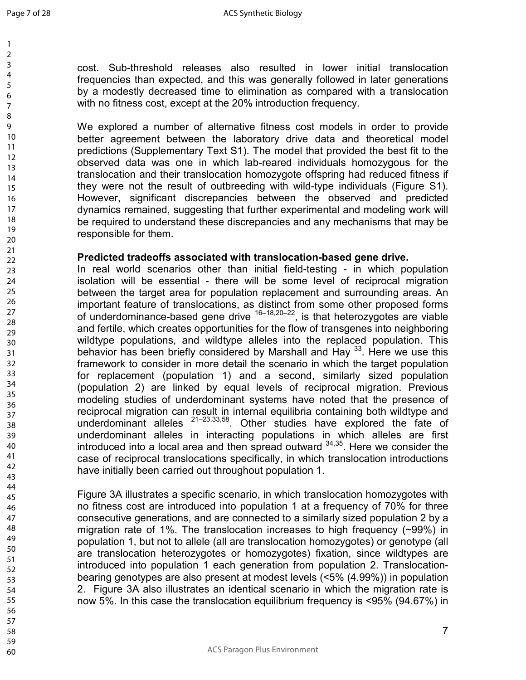cost. Sub-threshold releases also resulted in lower initial translocation frequencies than expected, and this was generally followed in later generations by a modestly decreased time to elimination as compared with a translocation with no fitness cost, except at the 20% introduction frequency.

We explored a number of alternative fitness cost models in order to provide better agreement between the laboratory drive data and theoretical model predictions (Supplementary Text S1). The model that provided the best fit to the observed data was one in which lab-reared individuals homozygous for the translocation and their translocation homozygote offspring had reduced fitness if they were not the result of outbreeding with wild-type individuals (Figure S1). However, significant discrepancies between the observed and predicted dynamics remained, suggesting that further experimental and modeling work will be required to understand these discrepancies and any mechanisms that may be responsible for them.

### **Predicted tradeoffs associated with translocation-based gene drive.**

In real world scenarios other than initial field-testing - in which population isolation will be essential - there will be some level of reciprocal migration between the target area for population replacement and surrounding areas. An important feature of translocations, as distinct from some other proposed forms of underdominance-based gene drive  $16-18,20-22$ , is that heterozygotes are viable and fertile, which creates opportunities for the flow of transgenes into neighboring wildtype populations, and wildtype alleles into the replaced population. This behavior has been briefly considered by Marshall and Hay  $33$ . Here we use this framework to consider in more detail the scenario in which the target population for replacement (population 1) and a second, similarly sized population (population 2) are linked by equal levels of reciprocal migration. Previous modeling studies of underdominant systems have noted that the presence of reciprocal migration can result in internal equilibria containing both wildtype and underdominant alleles <sup>21–23,33,58</sup>. Other studies have explored the fate of underdominant alleles in interacting populations in which alleles are first introduced into a local area and then spread outward  $34,35$ . Here we consider the case of reciprocal translocations specifically, in which translocation introductions have initially been carried out throughout population 1.

Figure 3A illustrates a specific scenario, in which translocation homozygotes with no fitness cost are introduced into population 1 at a frequency of 70% for three consecutive generations, and are connected to a similarly sized population 2 by a migration rate of 1%. The translocation increases to high frequency (~99%) in population 1, but not to allele (all are translocation homozygotes) or genotype (all are translocation heterozygotes or homozygotes) fixation, since wildtypes are introduced into population 1 each generation from population 2. Translocationbearing genotypes are also present at modest levels (<5% (4.99%)) in population 2. Figure 3A also illustrates an identical scenario in which the migration rate is now 5%. In this case the translocation equilibrium frequency is <95% (94.67%) in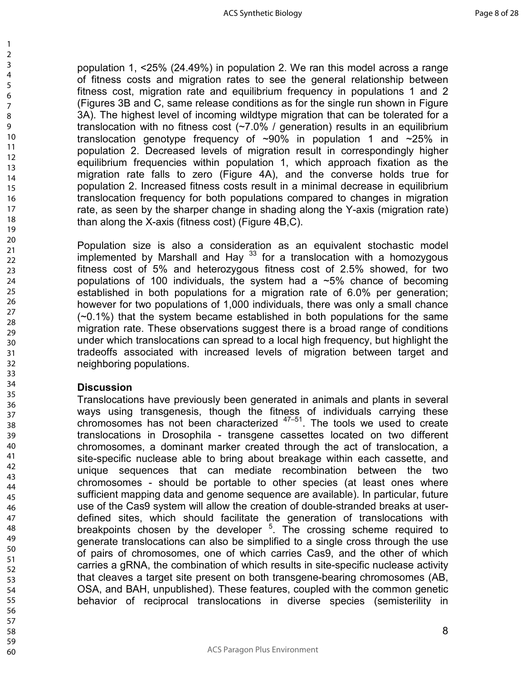population 1, <25% (24.49%) in population 2. We ran this model across a range of fitness costs and migration rates to see the general relationship between fitness cost, migration rate and equilibrium frequency in populations 1 and 2 (Figures 3B and C, same release conditions as for the single run shown in Figure 3A). The highest level of incoming wildtype migration that can be tolerated for a translocation with no fitness cost (~7.0% / generation) results in an equilibrium translocation genotype frequency of  $\sim 90\%$  in population 1 and  $\sim 25\%$  in population 2. Decreased levels of migration result in correspondingly higher equilibrium frequencies within population 1, which approach fixation as the migration rate falls to zero (Figure 4A), and the converse holds true for population 2. Increased fitness costs result in a minimal decrease in equilibrium translocation frequency for both populations compared to changes in migration rate, as seen by the sharper change in shading along the Y-axis (migration rate) than along the X-axis (fitness cost) (Figure 4B,C).

Population size is also a consideration as an equivalent stochastic model implemented by Marshall and Hay  $33$  for a translocation with a homozygous fitness cost of 5% and heterozygous fitness cost of 2.5% showed, for two populations of 100 individuals, the system had a  $\sim$ 5% chance of becoming established in both populations for a migration rate of 6.0% per generation; however for two populations of 1,000 individuals, there was only a small chance  $(\sim 0.1\%)$  that the system became established in both populations for the same migration rate. These observations suggest there is a broad range of conditions under which translocations can spread to a local high frequency, but highlight the tradeoffs associated with increased levels of migration between target and neighboring populations.

### **Discussion**

Translocations have previously been generated in animals and plants in several ways using transgenesis, though the fitness of individuals carrying these chromosomes has not been characterized  $47-51$ . The tools we used to create translocations in Drosophila - transgene cassettes located on two different chromosomes, a dominant marker created through the act of translocation, a site-specific nuclease able to bring about breakage within each cassette, and unique sequences that can mediate recombination between the two chromosomes - should be portable to other species (at least ones where sufficient mapping data and genome sequence are available). In particular, future use of the Cas9 system will allow the creation of double-stranded breaks at userdefined sites, which should facilitate the generation of translocations with breakpoints chosen by the developer  $5$ . The crossing scheme required to generate translocations can also be simplified to a single cross through the use of pairs of chromosomes, one of which carries Cas9, and the other of which carries a gRNA, the combination of which results in site-specific nuclease activity that cleaves a target site present on both transgene-bearing chromosomes (AB, OSA, and BAH, unpublished). These features, coupled with the common genetic behavior of reciprocal translocations in diverse species (semisterility in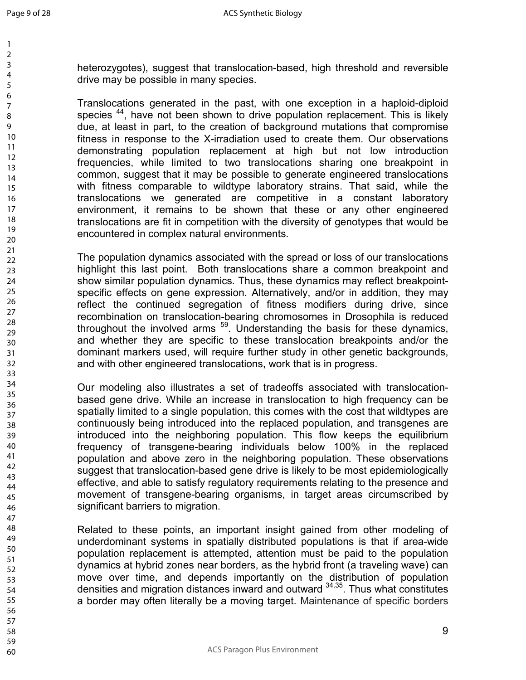1 2 3 4 5 6 7 8 9

heterozygotes), suggest that translocation-based, high threshold and reversible drive may be possible in many species.

Translocations generated in the past, with one exception in a haploid-diploid species <sup>44</sup>, have not been shown to drive population replacement. This is likely due, at least in part, to the creation of background mutations that compromise fitness in response to the X-irradiation used to create them. Our observations demonstrating population replacement at high but not low introduction frequencies, while limited to two translocations sharing one breakpoint in common, suggest that it may be possible to generate engineered translocations with fitness comparable to wildtype laboratory strains. That said, while the translocations we generated are competitive in a constant laboratory environment, it remains to be shown that these or any other engineered translocations are fit in competition with the diversity of genotypes that would be encountered in complex natural environments.

The population dynamics associated with the spread or loss of our translocations highlight this last point. Both translocations share a common breakpoint and show similar population dynamics. Thus, these dynamics may reflect breakpointspecific effects on gene expression. Alternatively, and/or in addition, they may reflect the continued segregation of fitness modifiers during drive, since recombination on translocation-bearing chromosomes in Drosophila is reduced throughout the involved arms  $59$ . Understanding the basis for these dynamics, and whether they are specific to these translocation breakpoints and/or the dominant markers used, will require further study in other genetic backgrounds, and with other engineered translocations, work that is in progress.

Our modeling also illustrates a set of tradeoffs associated with translocationbased gene drive. While an increase in translocation to high frequency can be spatially limited to a single population, this comes with the cost that wildtypes are continuously being introduced into the replaced population, and transgenes are introduced into the neighboring population. This flow keeps the equilibrium frequency of transgene-bearing individuals below 100% in the replaced population and above zero in the neighboring population. These observations suggest that translocation-based gene drive is likely to be most epidemiologically effective, and able to satisfy regulatory requirements relating to the presence and movement of transgene-bearing organisms, in target areas circumscribed by significant barriers to migration.

Related to these points, an important insight gained from other modeling of underdominant systems in spatially distributed populations is that if area-wide population replacement is attempted, attention must be paid to the population dynamics at hybrid zones near borders, as the hybrid front (a traveling wave) can move over time, and depends importantly on the distribution of population densities and migration distances inward and outward 34,35. Thus what constitutes a border may often literally be a moving target. Maintenance of specific borders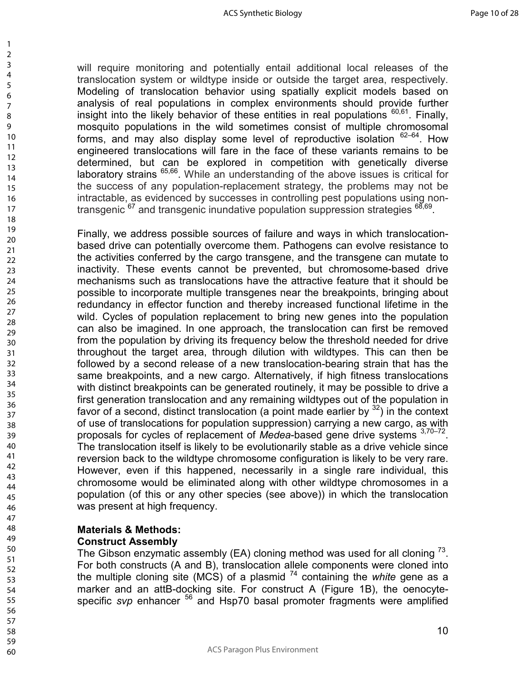will require monitoring and potentially entail additional local releases of the translocation system or wildtype inside or outside the target area, respectively. Modeling of translocation behavior using spatially explicit models based on analysis of real populations in complex environments should provide further insight into the likely behavior of these entities in real populations  $60,61$ . Finally, mosquito populations in the wild sometimes consist of multiple chromosomal forms, and may also display some level of reproductive isolation  $62-64$ . How engineered translocations will fare in the face of these variants remains to be determined, but can be explored in competition with genetically diverse laboratory strains <sup>65,66</sup>. While an understanding of the above issues is critical for the success of any population-replacement strategy, the problems may not be intractable, as evidenced by successes in controlling pest populations using nontransgenic <sup>67</sup> and transgenic inundative population suppression strategies <sup>68,69</sup>.

Finally, we address possible sources of failure and ways in which translocationbased drive can potentially overcome them. Pathogens can evolve resistance to the activities conferred by the cargo transgene, and the transgene can mutate to inactivity. These events cannot be prevented, but chromosome-based drive mechanisms such as translocations have the attractive feature that it should be possible to incorporate multiple transgenes near the breakpoints, bringing about redundancy in effector function and thereby increased functional lifetime in the wild. Cycles of population replacement to bring new genes into the population can also be imagined. In one approach, the translocation can first be removed from the population by driving its frequency below the threshold needed for drive throughout the target area, through dilution with wildtypes. This can then be followed by a second release of a new translocation-bearing strain that has the same breakpoints, and a new cargo. Alternatively, if high fitness translocations with distinct breakpoints can be generated routinely, it may be possible to drive a first generation translocation and any remaining wildtypes out of the population in favor of a second, distinct translocation (a point made earlier by  $32$ ) in the context of use of translocations for population suppression) carrying a new cargo, as with proposals for cycles of replacement of *Medea*-based gene drive systems 3,70–72 . The translocation itself is likely to be evolutionarily stable as a drive vehicle since reversion back to the wildtype chromosome configuration is likely to be very rare. However, even if this happened, necessarily in a single rare individual, this chromosome would be eliminated along with other wildtype chromosomes in a population (of this or any other species (see above)) in which the translocation was present at high frequency.

### **Materials & Methods:**

### **Construct Assembly**

The Gibson enzymatic assembly (EA) cloning method was used for all cloning  $^{73}$ . For both constructs (A and B), translocation allele components were cloned into the multiple cloning site (MCS) of a plasmid  $74$  containing the *white* gene as a marker and an attB-docking site. For construct A (Figure 1B), the oenocytespecific *svp* enhancer <sup>56</sup> and Hsp70 basal promoter fragments were amplified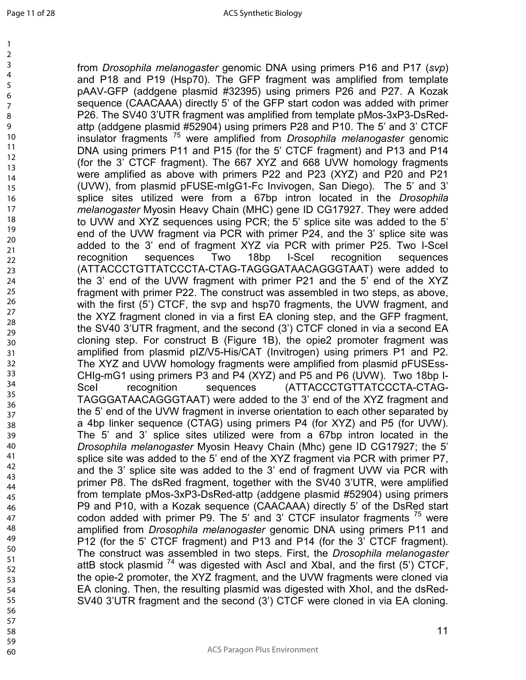from *Drosophila melanogaster* genomic DNA using primers P16 and P17 (*svp*) and P18 and P19 (Hsp70). The GFP fragment was amplified from template pAAV-GFP (addgene plasmid #32395) using primers P26 and P27. A Kozak sequence (CAACAAA) directly 5' of the GFP start codon was added with primer P26. The SV40 3'UTR fragment was amplified from template pMos-3xP3-DsRedattp (addgene plasmid #52904) using primers P28 and P10. The 5' and 3' CTCF insulator fragments <sup>75</sup> were amplified from *Drosophila melanogaster* genomic DNA using primers P11 and P15 (for the 5' CTCF fragment) and P13 and P14 (for the 3' CTCF fragment). The 667 XYZ and 668 UVW homology fragments were amplified as above with primers P22 and P23 (XYZ) and P20 and P21 (UVW), from plasmid pFUSE-mIgG1-Fc Invivogen, San Diego). The 5' and 3' splice sites utilized were from a 67bp intron located in the *Drosophila melanogaster* Myosin Heavy Chain (MHC) gene ID CG17927. They were added to UVW and XYZ sequences using PCR; the 5' splice site was added to the 5' end of the UVW fragment via PCR with primer P24, and the 3' splice site was added to the 3' end of fragment XYZ via PCR with primer P25. Two I-SceI recognition sequences Two 18bp I-SceI recognition sequences (ATTACCCTGTTATCCCTA-CTAG-TAGGGATAACAGGGTAAT) were added to the 3' end of the UVW fragment with primer P21 and the 5' end of the XYZ fragment with primer P22. The construct was assembled in two steps, as above, with the first (5') CTCF, the svp and hsp70 fragments, the UVW fragment, and the XYZ fragment cloned in via a first EA cloning step, and the GFP fragment, the SV40 3'UTR fragment, and the second (3') CTCF cloned in via a second EA cloning step. For construct B (Figure 1B), the opie2 promoter fragment was amplified from plasmid pIZ/V5-His/CAT (Invitrogen) using primers P1 and P2. The XYZ and UVW homology fragments were amplified from plasmid pFUSEss-CHIg-mG1 using primers P3 and P4 (XYZ) and P5 and P6 (UVW). Two 18bp I-SceI recognition sequences (ATTACCCTGTTATCCCTA-CTAG-TAGGGATAACAGGGTAAT) were added to the 3' end of the XYZ fragment and the 5' end of the UVW fragment in inverse orientation to each other separated by a 4bp linker sequence (CTAG) using primers P4 (for XYZ) and P5 (for UVW). The 5' and 3' splice sites utilized were from a 67bp intron located in the *Drosophila melanogaster* Myosin Heavy Chain (Mhc) gene ID CG17927; the 5' splice site was added to the 5' end of the XYZ fragment via PCR with primer P7, and the 3' splice site was added to the 3' end of fragment UVW via PCR with primer P8. The dsRed fragment, together with the SV40 3'UTR, were amplified from template pMos-3xP3-DsRed-attp (addgene plasmid #52904) using primers P9 and P10, with a Kozak sequence (CAACAAA) directly 5' of the DsRed start codon added with primer P9. The 5' and 3' CTCF insulator fragments  $\frac{75}{15}$  were amplified from *Drosophila melanogaster* genomic DNA using primers P11 and P12 (for the 5' CTCF fragment) and P13 and P14 (for the 3' CTCF fragment). The construct was assembled in two steps. First, the *Drosophila melanogaster* attB stock plasmid  $^{74}$  was digested with AscI and XbaI, and the first (5') CTCF, the opie-2 promoter, the XYZ fragment, and the UVW fragments were cloned via EA cloning. Then, the resulting plasmid was digested with XhoI, and the dsRed-SV40 3'UTR fragment and the second (3') CTCF were cloned in via EA cloning.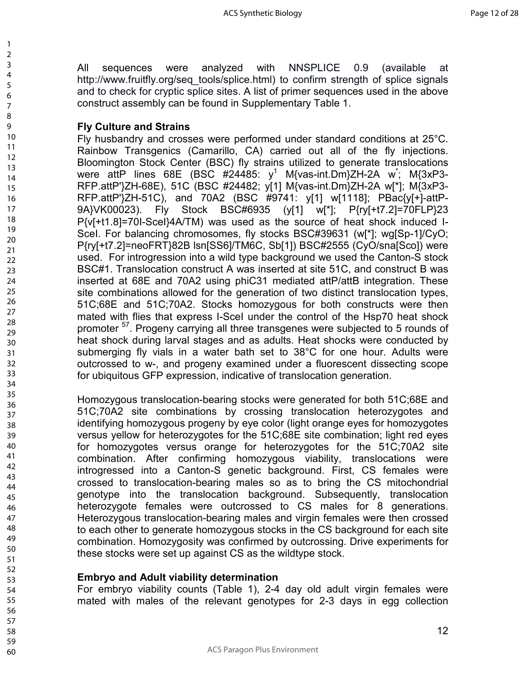All sequences were analyzed with NNSPLICE 0.9 (available at http://www.fruitfly.org/seq\_tools/splice.html) to confirm strength of splice signals and to check for cryptic splice sites. A list of primer sequences used in the above construct assembly can be found in Supplementary Table 1.

### **Fly Culture and Strains**

Fly husbandry and crosses were performed under standard conditions at 25°C. Rainbow Transgenics (Camarillo, CA) carried out all of the fly injections. Bloomington Stock Center (BSC) fly strains utilized to generate translocations were attP lines 68E (BSC #24485:  $y^1$  M{vas-int.Dm}ZH-2A w<sup>\*</sup>; M{3xP3-RFP.attP'}ZH-68E), 51C (BSC #24482; y[1] M{vas-int.Dm}ZH-2A w[\*]; M{3xP3- RFP.attP'}ZH-51C), and 70A2 (BSC #9741: y[1] w[1118]; PBac{y[+]-attP-9A}VK00023). Fly Stock BSC#6935 (y[1] w[\*]; P{ry[+t7.2]=70FLP}23 P{v[+t1.8]=70I-SceI}4A/TM) was used as the source of heat shock induced I-SceI. For balancing chromosomes, fly stocks BSC#39631 (w[\*]; wg[Sp-1]/CyO; P{ry[+t7.2]=neoFRT}82B lsn[SS6]/TM6C, Sb[1]) BSC#2555 (CyO/sna[Sco]) were used. For introgression into a wild type background we used the Canton-S stock BSC#1. Translocation construct A was inserted at site 51C, and construct B was inserted at 68E and 70A2 using phiC31 mediated attP/attB integration. These site combinations allowed for the generation of two distinct translocation types, 51C;68E and 51C;70A2. Stocks homozygous for both constructs were then mated with flies that express I-SceI under the control of the Hsp70 heat shock promoter <sup>57</sup>. Progeny carrying all three transgenes were subjected to 5 rounds of heat shock during larval stages and as adults. Heat shocks were conducted by submerging fly vials in a water bath set to 38°C for one hour. Adults were outcrossed to w-, and progeny examined under a fluorescent dissecting scope for ubiquitous GFP expression, indicative of translocation generation.

Homozygous translocation-bearing stocks were generated for both 51C;68E and 51C;70A2 site combinations by crossing translocation heterozygotes and identifying homozygous progeny by eye color (light orange eyes for homozygotes versus yellow for heterozygotes for the 51C;68E site combination; light red eyes for homozygotes versus orange for heterozygotes for the 51C;70A2 site combination. After confirming homozygous viability, translocations were introgressed into a Canton-S genetic background. First, CS females were crossed to translocation-bearing males so as to bring the CS mitochondrial genotype into the translocation background. Subsequently, translocation heterozygote females were outcrossed to CS males for 8 generations. Heterozygous translocation-bearing males and virgin females were then crossed to each other to generate homozygous stocks in the CS background for each site combination. Homozygosity was confirmed by outcrossing. Drive experiments for these stocks were set up against CS as the wildtype stock.

### **Embryo and Adult viability determination**

For embryo viability counts (Table 1), 2-4 day old adult virgin females were mated with males of the relevant genotypes for 2-3 days in egg collection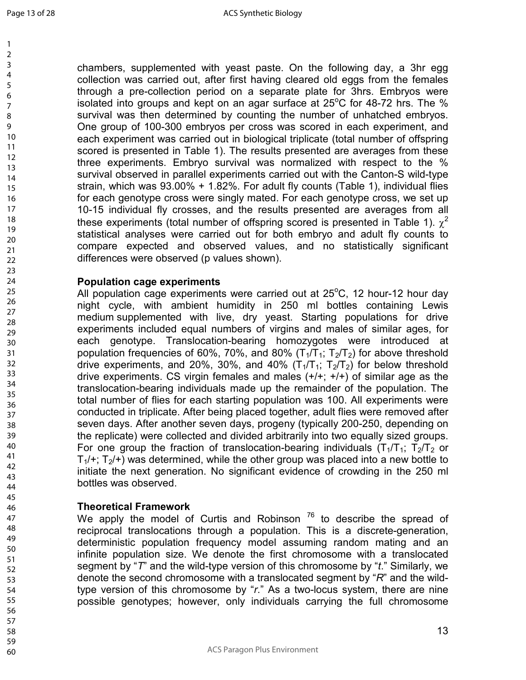chambers, supplemented with yeast paste. On the following day, a 3hr egg collection was carried out, after first having cleared old eggs from the females through a pre-collection period on a separate plate for 3hrs. Embryos were isolated into groups and kept on an agar surface at 25 $\degree$ C for 48-72 hrs. The  $\%$ survival was then determined by counting the number of unhatched embryos. One group of 100-300 embryos per cross was scored in each experiment, and each experiment was carried out in biological triplicate (total number of offspring scored is presented in Table 1). The results presented are averages from these three experiments. Embryo survival was normalized with respect to the % survival observed in parallel experiments carried out with the Canton-S wild-type strain, which was 93.00% + 1.82%. For adult fly counts (Table 1), individual flies for each genotype cross were singly mated. For each genotype cross, we set up 10-15 individual fly crosses, and the results presented are averages from all these experiments (total number of offspring scored is presented in Table 1).  $\chi^2$ statistical analyses were carried out for both embryo and adult fly counts to compare expected and observed values, and no statistically significant differences were observed (p values shown).

### **Population cage experiments**

All population cage experiments were carried out at  $25^{\circ}$ C, 12 hour-12 hour day night cycle, with ambient humidity in 250 ml bottles containing Lewis medium supplemented with live, dry yeast. Starting populations for drive experiments included equal numbers of virgins and males of similar ages, for each genotype. Translocation-bearing homozygotes were introduced at population frequencies of 60%, 70%, and 80% ( $T_1/T_1$ ;  $T_2/T_2$ ) for above threshold drive experiments, and 20%, 30%, and 40%  $(T_1/T_1, T_2/T_2)$  for below threshold drive experiments. CS virgin females and males (+/+; +/+) of similar age as the translocation-bearing individuals made up the remainder of the population. The total number of flies for each starting population was 100. All experiments were conducted in triplicate. After being placed together, adult flies were removed after seven days. After another seven days, progeny (typically 200-250, depending on the replicate) were collected and divided arbitrarily into two equally sized groups. For one group the fraction of translocation-bearing individuals  $(T_1/T_1; T_2/T_2)$  or  $T_1$ /+;  $T_2$ /+) was determined, while the other group was placed into a new bottle to initiate the next generation. No significant evidence of crowding in the 250 ml bottles was observed.

### **Theoretical Framework**

We apply the model of Curtis and Robinson  $^{76}$  to describe the spread of reciprocal translocations through a population. This is a discrete-generation, deterministic population frequency model assuming random mating and an infinite population size. We denote the first chromosome with a translocated segment by "*T*" and the wild-type version of this chromosome by "*t*." Similarly, we denote the second chromosome with a translocated segment by "*R*" and the wildtype version of this chromosome by "*r*." As a two-locus system, there are nine possible genotypes; however, only individuals carrying the full chromosome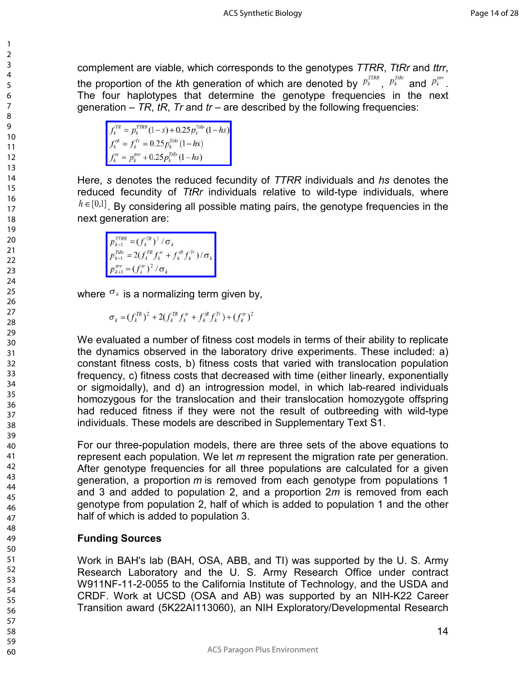complement are viable, which corresponds to the genotypes *TTRR*, *TtRr* and *ttrr*, the proportion of the kth generation of which are denoted by  $P_k^{TTR}$ ,  $P_k^{TRR}$  and  $P_k^{Iirr}$ . The four haplotypes that determine the genotype frequencies in the next generation – *TR*, *tR*, *Tr* and *tr* – are described by the following frequencies:

$$
f_k^{TR} = p_k^{TRR} (1 - s) + 0.25 p_k^{TRR} (1 - hs)
$$
  
\n
$$
f_k^{iR} = f_k^{Tr} = 0.25 p_k^{TRR} (1 - hs)
$$
  
\n
$$
f_k^{tr} = p_k^{trr} + 0.25 p_k^{TRR} (1 - hs)
$$

Here, *s* denotes the reduced fecundity of *TTRR* individuals and *hs* denotes the reduced fecundity of *TtRr* individuals relative to wild-type individuals, where  $h \in [0,1]$ . By considering all possible mating pairs, the genotype frequencies in the next generation are:

 $\begin{array}{l} p_{k+1}^{TRR} = (f_k^{TR})^2 \, / \sigma_k \\ p_{k+1}^{TRR} = 2 (f_k^{TR} f_k^{tr} + f_k^{iR} f_k^{Tr}) / \sigma_k \\ p_{k+1}^{urr} = (f_k^{ir})^2 \, / \sigma_k \end{array}$ 

where  $\sigma_k$  is a normalizing term given by,

$$
\sigma_k = (f_k^{TR})^2 + 2(f_k^{TR} f_k^{tr} + f_k^{iR} f_k^{Tr}) + (f_k^{tr})^2
$$

We evaluated a number of fitness cost models in terms of their ability to replicate the dynamics observed in the laboratory drive experiments. These included: a) constant fitness costs, b) fitness costs that varied with translocation population frequency, c) fitness costs that decreased with time (either linearly, exponentially or sigmoidally), and d) an introgression model, in which lab-reared individuals homozygous for the translocation and their translocation homozygote offspring had reduced fitness if they were not the result of outbreeding with wild-type individuals. These models are described in Supplementary Text S1.

For our three-population models, there are three sets of the above equations to represent each population. We let *m* represent the migration rate per generation. After genotype frequencies for all three populations are calculated for a given generation, a proportion *m* is removed from each genotype from populations 1 and 3 and added to population 2, and a proportion 2*m* is removed from each genotype from population 2, half of which is added to population 1 and the other half of which is added to population 3.

### **Funding Sources**

Work in BAH's lab (BAH, OSA, ABB, and TI) was supported by the U. S. Army Research Laboratory and the U. S. Army Research Office under contract W911NF-11-2-0055 to the California Institute of Technology, and the USDA and CRDF. Work at UCSD (OSA and AB) was supported by an NIH-K22 Career Transition award (5K22AI113060), an NIH Exploratory/Developmental Research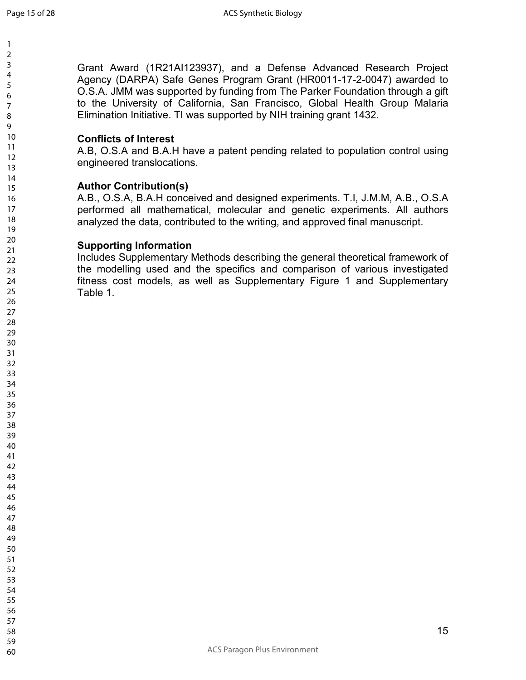Grant Award (1R21AI123937), and a Defense Advanced Research Project Agency (DARPA) Safe Genes Program Grant (HR0011-17-2-0047) awarded to O.S.A. JMM was supported by funding from The Parker Foundation through a gift to the University of California, San Francisco, Global Health Group Malaria Elimination Initiative. TI was supported by NIH training grant 1432.

### **Conflicts of Interest**

A.B, O.S.A and B.A.H have a patent pending related to population control using engineered translocations.

### **Author Contribution(s)**

A.B., O.S.A, B.A.H conceived and designed experiments. T.I, J.M.M, A.B., O.S.A performed all mathematical, molecular and genetic experiments. All authors analyzed the data, contributed to the writing, and approved final manuscript.

### **Supporting Information**

Includes Supplementary Methods describing the general theoretical framework of the modelling used and the specifics and comparison of various investigated fitness cost models, as well as Supplementary Figure 1 and Supplementary Table 1.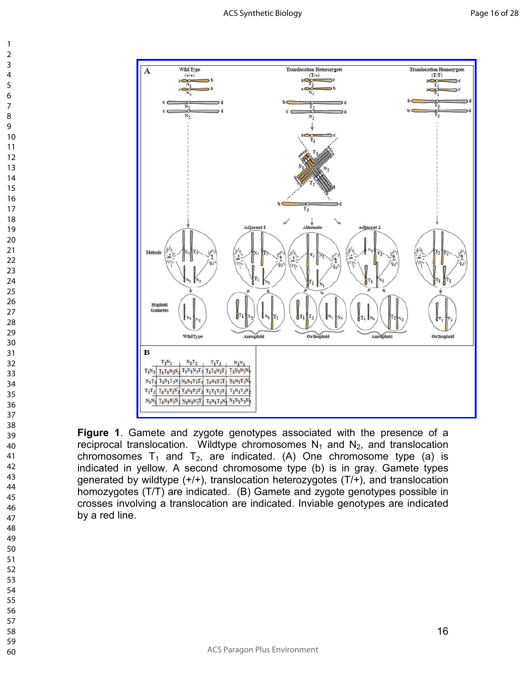

**Figure 1**. Gamete and zygote genotypes associated with the presence of a reciprocal translocation. Wildtype chromosomes  $N_1$  and  $N_2$ , and translocation chromosomes  $T_1$  and  $T_2$ , are indicated. (A) One chromosome type (a) is indicated in yellow. A second chromosome type (b) is in gray. Gamete types generated by wildtype (+/+), translocation heterozygotes (T/+), and translocation homozygotes (T/T) are indicated. (B) Gamete and zygote genotypes possible in crosses involving a translocation are indicated. Inviable genotypes are indicated by a red line.

ACS Paragon Plus Environment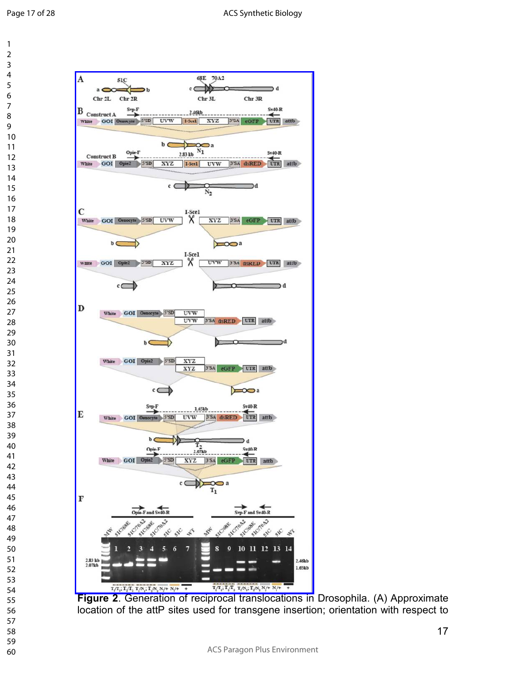

**Figure 2**. Generation of reciprocal translocations in Drosophila. (A) Approximate location of the attP sites used for transgene insertion; orientation with respect to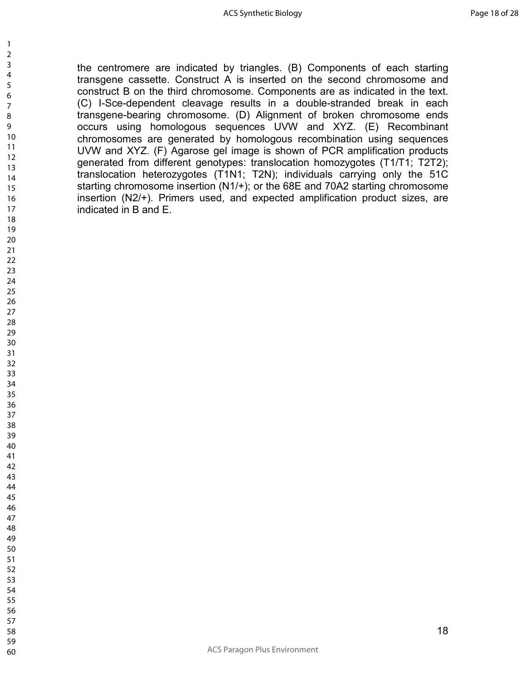the centromere are indicated by triangles. (B) Components of each starting transgene cassette. Construct A is inserted on the second chromosome and construct B on the third chromosome. Components are as indicated in the text. (C) I-Sce-dependent cleavage results in a double-stranded break in each transgene-bearing chromosome. (D) Alignment of broken chromosome ends occurs using homologous sequences UVW and XYZ. (E) Recombinant chromosomes are generated by homologous recombination using sequences UVW and XYZ. (F) Agarose gel image is shown of PCR amplification products generated from different genotypes: translocation homozygotes (T1/T1; T2T2); translocation heterozygotes (T1N1; T2N); individuals carrying only the 51C starting chromosome insertion (N1/+); or the 68E and 70A2 starting chromosome insertion (N2/+). Primers used, and expected amplification product sizes, are indicated in B and E.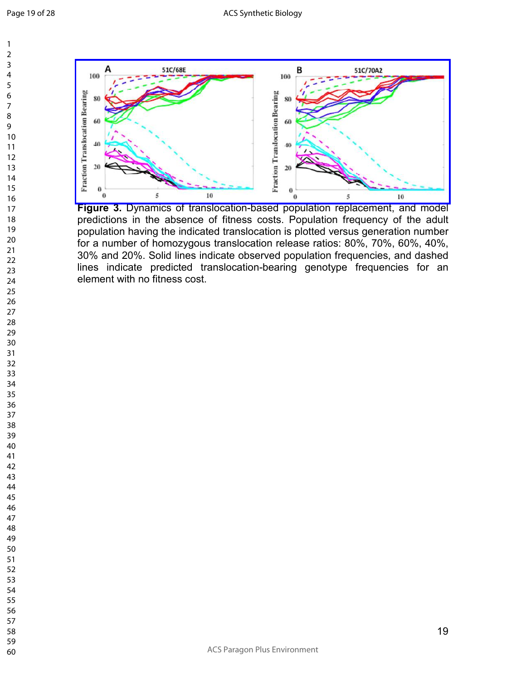

**Figure 3.** Dynamics of translocation-based population replacement, and model predictions in the absence of fitness costs. Population frequency of the adult population having the indicated translocation is plotted versus generation number for a number of homozygous translocation release ratios: 80%, 70%, 60%, 40%, 30% and 20%. Solid lines indicate observed population frequencies, and dashed lines indicate predicted translocation-bearing genotype frequencies for an element with no fitness cost.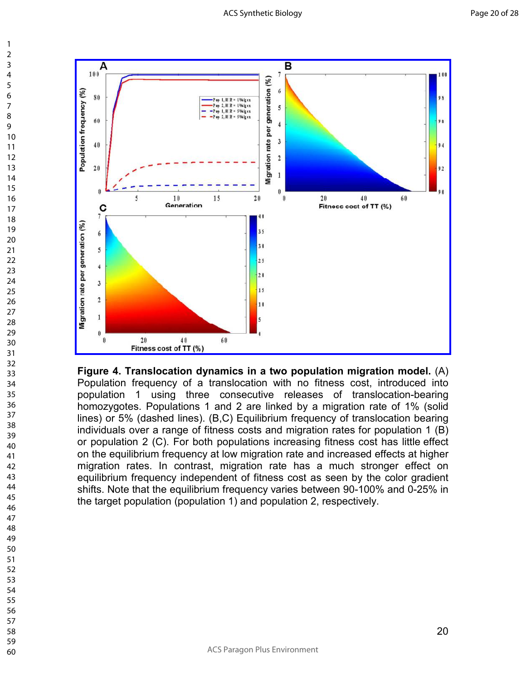

**Figure 4. Translocation dynamics in a two population migration model.** (A) Population frequency of a translocation with no fitness cost, introduced into population 1 using three consecutive releases of translocation-bearing homozygotes. Populations 1 and 2 are linked by a migration rate of 1% (solid lines) or 5% (dashed lines). (B,C) Equilibrium frequency of translocation bearing individuals over a range of fitness costs and migration rates for population 1 (B) or population 2 (C). For both populations increasing fitness cost has little effect on the equilibrium frequency at low migration rate and increased effects at higher migration rates. In contrast, migration rate has a much stronger effect on equilibrium frequency independent of fitness cost as seen by the color gradient shifts. Note that the equilibrium frequency varies between 90-100% and 0-25% in the target population (population 1) and population 2, respectively.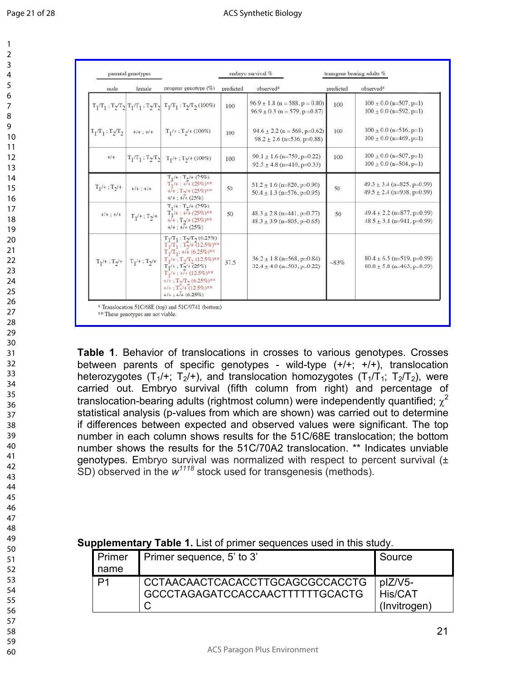| male                  | female             | progeny genotype $(\%)$                                                                                                                                                                                                                                                                                                                 | predicted | observed <sup>*</sup>                                                    | predicted | observed <sup>®</sup>                                            |
|-----------------------|--------------------|-----------------------------------------------------------------------------------------------------------------------------------------------------------------------------------------------------------------------------------------------------------------------------------------------------------------------------------------|-----------|--------------------------------------------------------------------------|-----------|------------------------------------------------------------------|
|                       |                    | $T_1/T_1$ ; $T_2/T_2$ $T_1/T_1$ ; $T_2/T_2$ $T_1/T_1$ ; $T_2/T_2$ (100%)                                                                                                                                                                                                                                                                | 100       | $96.9 \pm 1.8$ (n = 588, p = 0.80)<br>$96.9 \pm 0.3$ (n = 579, p = 0.87) | 100       | $100 \pm 0.0$ (n=507, p=1)<br>$100 + 0.0$ (n=592, p=1)           |
| $T_1/T_1$ ; $T_2/T_2$ | $+/-$ : $+/-$      | $T_1/$ +; $T_2/$ + (100%)                                                                                                                                                                                                                                                                                                               | 100       | $94.6 + 2.2$ (n = 569, p=0.62)<br>$98.2 \pm 2.6$ (n=536, p=0.88)         | 100       | $100 \pm 0.0$ (n=516, p=1)<br>$100 \pm 0.0$ (n=469, p=1)         |
| $+/-$                 |                    | $T_1/T_1$ ; $T_2/T_2$ $T_1/4$ ; $T_2/4$ (100%)                                                                                                                                                                                                                                                                                          | 100       | $90.1 \pm 1.6$ (n=759, p=0.22)<br>$92.5 + 4.8$ (n=410, p=0.33)           | 100       | $100 \pm 0.0$ (n=507, p=1)<br>$100 \pm 0.0$ (n=504, p=1)         |
| $T_1/+: T_2/+$        | $+/+$ : +/+        | $T_1/$ + : $T_2/$ + (25%)<br>$T_1/$ +; + $\overline{7}$ + (25%)**<br>$+/+$ : T <sub>2</sub> /+ (25%)**<br>$+/-$ : $+/-$ (25%)                                                                                                                                                                                                           | 50        | $51.2 \pm 1.6$ (n=820, p=0.90)<br>$50.4 \pm 1.3$ (n=576, p=0.95)         | 50        | $49.3 \pm 3.4$ (n=825, p=0.99)<br>$49.5 \pm 2.4$ (n=938, p=0.99) |
| $+/-$ : $+/-$         | $T_1/$ +; $T_2/$ + | $T_1/$ +; $T_2/$ + (25%)<br>$T_1/$ +; +/+ $(25\%)$ **<br>$+/-$ : T <sub>2</sub> /+ (25%)**<br>$+/-$ : $+/- (25%)$                                                                                                                                                                                                                       | 50        | $48.3 \pm 2.8$ (n=441, p=0.77)<br>$48.3 \pm 3.9$ (n=805, p=0.65)         | 50        | $49.4 \pm 2.2$ (n=877, p=0.99)<br>$48.5 + 3.4$ (n=941, p=0.99)   |
| $T_1/$ + : $T_2/$ +   | $T_1/+: T_2/+$     | $T_1/T_1$ ; $T_2/T_2$ (6.25%)<br>$T_1/T_1$ ; $T_2/+(12.5\%)$ **<br>$T_1/T_1$ ; +/+ (6.25%)**<br>$T_1/$ + ; $T_2/T_2$ (12.5%)**<br>$T_1/$ ; $T_2/$ + (25%)<br>$T_1/4$ ; $+7 + (12.5\%)$ <sup>**</sup><br>$+/+$ : T <sub>2</sub> /T <sub>3</sub> (6.25%) <sup>**</sup><br>$+(+$ ; T <sub>2</sub> $/(12.5%)$ **<br>$+/- + (-1) + (6.25\%)$ | 37.5      | $36.2 \pm 1.8$ (n=568, p=0.84)<br>$32.4 \pm 4.0$ (n=503, p=0.22)         | $-83%$    | $80.4 \pm 6.5$ (n=519, p=0.99)<br>$80.8 \pm 5.8$ (n=463, p=0.99) |

**Table 1**. Behavior of translocations in crosses to various genotypes. Crosses between parents of specific genotypes - wild-type  $(+/+; +/+)$ , translocation heterozygotes  $(T_1/+)$ ;  $T_2/+)$ , and translocation homozygotes  $(T_1/T_1; T_2/T_2)$ , were carried out. Embryo survival (fifth column from right) and percentage of translocation-bearing adults (rightmost column) were independently quantified;  $\chi^2$ statistical analysis (p-values from which are shown) was carried out to determine if differences between expected and observed values were significant. The top number in each column shows results for the 51C/68E translocation; the bottom number shows the results for the 51C/70A2 translocation. \*\* Indicates unviable genotypes. Embryo survival was normalized with respect to percent survival (± SD) observed in the  $w^{1118}$  stock used for transgenesis (methods).

### **Supplementary Table 1.** List of primer sequences used in this study.

|      | Primer Primer sequence, 5' to 3'                                   | Source                                   |
|------|--------------------------------------------------------------------|------------------------------------------|
| name |                                                                    |                                          |
| D1   | CCTAACAACTCACACCTTGCAGCGCCACCTG<br>GCCCTAGAGATCCACCAACTTTTTTGCACTG | $ $ plZ/V5-<br>l His/CAT<br>(Invitrogen) |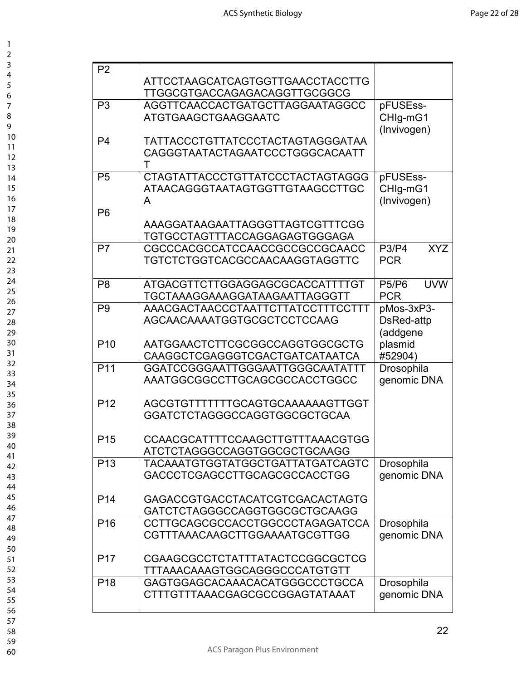| P <sub>2</sub>  |                                         |                            |
|-----------------|-----------------------------------------|----------------------------|
|                 | ATTCCTAAGCATCAGTGGTTGAACCTACCTTG        |                            |
|                 | TTGGCGTGACCAGAGACAGGTTGCGGCG            |                            |
| P <sub>3</sub>  | AGGTTCAACCACTGATGCTTAGGAATAGGCC         | pFUSEss-                   |
|                 | ATGTGAAGCTGAAGGAATC                     | CHIg-mG1                   |
|                 |                                         | (Invivogen)                |
| P <sub>4</sub>  | TATTACCCTGTTATCCCTACTAGTAGGGATAA        |                            |
|                 | CAGGGTAATACTAGAATCCCTGGGCACAATT         |                            |
|                 | т                                       |                            |
| P <sub>5</sub>  | CTAGTATTACCCTGTTATCCCTACTAGTAGGG        | pFUSEss-                   |
|                 | ATAACAGGGTAATAGTGGTTGTAAGCCTTGC         | CHIg-mG1                   |
|                 | A                                       | (Invivogen)                |
| P <sub>6</sub>  |                                         |                            |
|                 | AAAGGATAAGAATTAGGGTTAGTCGTTTCGG         |                            |
|                 | TGTGCCTAGTTTACCAGGAGAGTGGGAGA           |                            |
| P7              | CGCCCACGCCATCCAACCGCCGCCGCAACC          | <b>P3/P4</b><br><b>XYZ</b> |
|                 | TGTCTCTGGTCACGCCAACAAGGTAGGTTC          | <b>PCR</b>                 |
|                 |                                         |                            |
| P <sub>8</sub>  | ATGACGTTCTTGGAGGAGCGCACCATTTTGT         | <b>UVW</b><br><b>P5/P6</b> |
|                 | TGCTAAAGGAAAGGATAAGAATTAGGGTT           | <b>PCR</b>                 |
| P <sub>9</sub>  | AAACGACTAACCCTAATTCTTATCCTTTCCTTT       | pMos-3xP3-                 |
|                 | AGCAACAAAATGGTGCGCTCCTCCAAG             | DsRed-attp                 |
|                 |                                         | (addgene                   |
| P <sub>10</sub> | AATGGAACTCTTCGCGGCCAGGTGGCGCTG          | plasmid                    |
|                 | CAAGGCTCGAGGGTCGACTGATCATAATCA          | #52904)                    |
| P <sub>11</sub> | GGATCCGGGAATTGGGAATTGGGCAATATTT         | Drosophila                 |
|                 | AAATGGCGGCCTTGCAGCGCCACCTGGCC           | genomic DNA                |
|                 |                                         |                            |
| P <sub>12</sub> | AGCGTGTTTTTTTGCAGTGCAAAAAAGTTGGT        |                            |
|                 | GGATCTCTAGGGCCAGGTGGCGCTGCAA            |                            |
|                 |                                         |                            |
| P <sub>15</sub> | CCAACGCATTTTCCAAGCTTGTTTAAACGTGG        |                            |
|                 | ATCTCTAGGGCCAGGTGGCGCTGCAAGG            |                            |
| P <sub>13</sub> | <b>TACAAATGTGGTATGGCTGATTATGATCAGTC</b> | Drosophila                 |
|                 | GACCCTCGAGCCTTGCAGCGCCACCTGG            | genomic DNA                |
|                 |                                         |                            |
| P <sub>14</sub> | GAGACCGTGACCTACATCGTCGACACTAGTG         |                            |
|                 | GATCTCTAGGGCCAGGTGGCGCTGCAAGG           |                            |
| P <sub>16</sub> | <b>CCTTGCAGCGCCACCTGGCCCTAGAGATCCA</b>  | Drosophila                 |
|                 | CGTTTAAACAAGCTTGGAAAATGCGTTGG           | genomic DNA                |
|                 |                                         |                            |
| P <sub>17</sub> | CGAAGCGCCTCTATTTATACTCCGGCGCTCG         |                            |
|                 | TTTAAACAAAGTGGCAGGGCCCATGTGTT           |                            |
| P <sub>18</sub> | GAGTGGAGCACAAACACATGGGCCCTGCCA          | Drosophila                 |
|                 |                                         |                            |
|                 | CTTTGTTTAAACGAGCGCCGGAGTATAAAT          | genomic DNA                |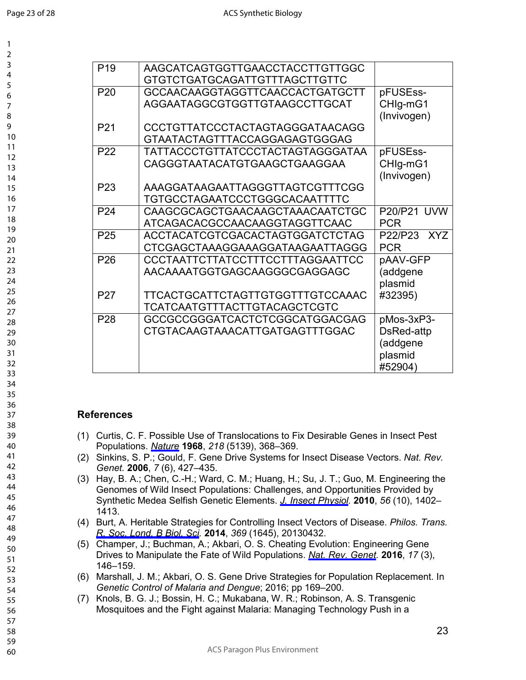| 1                                         |  |
|-------------------------------------------|--|
| $\overline{ }$                            |  |
| 3                                         |  |
|                                           |  |
| 4                                         |  |
|                                           |  |
|                                           |  |
| 6                                         |  |
|                                           |  |
| 8                                         |  |
|                                           |  |
| 9                                         |  |
| 10                                        |  |
| $\mathbf{1}$                              |  |
| 1                                         |  |
| 1<br>$\overline{2}$                       |  |
| 1<br>3                                    |  |
|                                           |  |
| 1<br>4                                    |  |
| 5<br>1                                    |  |
|                                           |  |
| 16<br>17                                  |  |
|                                           |  |
| 18                                        |  |
| 19                                        |  |
|                                           |  |
| $\overline{20}$                           |  |
| $\overline{21}$                           |  |
| $\overline{2}$                            |  |
| $\overline{2}$                            |  |
| $\overline{2}$<br>$\overline{\mathbf{3}}$ |  |
| 4<br>$\overline{2}$                       |  |
|                                           |  |
| 25                                        |  |
| $\frac{26}{5}$                            |  |
| $^{27}$                                   |  |
|                                           |  |
| 28                                        |  |
| 29                                        |  |
| 80                                        |  |
|                                           |  |
| $\mathbf{S}$<br>1                         |  |
| $\overline{2}$<br>$\overline{\mathbf{3}}$ |  |
|                                           |  |
| ś<br>$\overline{\mathbf{3}}$              |  |
| 4<br>3                                    |  |
| $\overline{\mathbf{3}}$                   |  |
|                                           |  |
| 36                                        |  |
| Ś<br>7                                    |  |
| 88                                        |  |
|                                           |  |
| 39                                        |  |
| 40                                        |  |
| 41                                        |  |
|                                           |  |
| 42                                        |  |
| $\overline{4}$<br>ξ                       |  |
|                                           |  |
| 44                                        |  |
| 45                                        |  |
| 46                                        |  |
|                                           |  |
| 47                                        |  |
| 48                                        |  |
| 49                                        |  |
|                                           |  |
| 50                                        |  |
| 51                                        |  |
| 5.<br>$\overline{2}$                      |  |
|                                           |  |
| 5.<br>ξ                                   |  |
| 54                                        |  |
| 55                                        |  |
|                                           |  |
| 56                                        |  |
| 57                                        |  |
| 58                                        |  |
|                                           |  |
| 59                                        |  |
| 60                                        |  |
|                                           |  |

| P <sub>19</sub> | AAGCATCAGTGGTTGAACCTACCTTGTTGGC       |             |
|-----------------|---------------------------------------|-------------|
|                 | <b>GTGTCTGATGCAGATTGTTTAGCTTGTTC</b>  |             |
| P <sub>20</sub> | GCCAACAAGGTAGGTTCAACCACTGATGCTT       | pFUSEss-    |
|                 | AGGAATAGGCGTGGTTGTAAGCCTTGCAT         | CHIg-mG1    |
|                 |                                       | (Invivogen) |
| P <sub>21</sub> | CCCTGTTATCCCTACTAGTAGGGATAACAGG       |             |
|                 | GTAATACTAGTTTACCAGGAGAGTGGGAG         |             |
| P <sub>22</sub> | TATTACCCTGTTATCCCTACTAGTAGGGATAA      | pFUSEss-    |
|                 | CAGGGTAATACATGTGAAGCTGAAGGAA          | CHIg-mG1    |
|                 |                                       | (Invivogen) |
| P <sub>23</sub> | AAAGGATAAGAATTAGGGTTAGTCGTTTCGG       |             |
|                 | TGTGCCTAGAATCCCTGGGCACAATTTTC         |             |
| P <sub>24</sub> | CAAGCGCAGCTGAACAAGCTAAACAATCTGC       | P20/P21 UVW |
|                 | ATCAGACACGCCAACAAGGTAGGTTCAAC         | <b>PCR</b>  |
| P <sub>25</sub> | ACCTACATCGTCGACACTAGTGGATCTCTAG       | P22/P23 XYZ |
|                 | CTCGAGCTAAAGGAAAGGATAAGAATTAGGG       | <b>PCR</b>  |
| P <sub>26</sub> | CCCTAATTCTTATCCTTTCCTTTAGGAATTCC      | pAAV-GFP    |
|                 | AACAAAATGGTGAGCAAGGGCGAGGAGC          | (addgene    |
|                 |                                       | plasmid     |
| P <sub>27</sub> | TTCACTGCATTCTAGTTGTGGTTTGTCCAAAC      | #32395)     |
|                 | <b>TCATCAATGTTTACTTGTACAGCTCGTC</b>   |             |
| P <sub>28</sub> | GCCGCCGGGATCACTCTCGGCATGGACGAG        | pMos-3xP3-  |
|                 | <b>CTGTACAAGTAAACATTGATGAGTTTGGAC</b> | DsRed-attp  |
|                 |                                       | (addgene    |
|                 |                                       | plasmid     |
|                 |                                       | #52904)     |

### **References**

- (1) Curtis, C. F. Possible Use of Translocations to Fix Desirable Genes in Insect Pest Populations. *[Nature](http://pubs.acs.org/action/showLinks?pmid=5649682&crossref=10.1038%2F218368a0&citationId=p_n_2_1)* **1968**, *218* (5139), 368–369.
- (2) Sinkins, S. P.; Gould, F. Gene Drive Systems for Insect Disease Vectors. *Nat. Rev. Genet.* **2006**, *7* (6), 427–435.
- (3) Hay, B. A.; Chen, C.-H.; Ward, C. M.; Huang, H.; Su, J. T.; Guo, M. Engineering the Genomes of Wild Insect Populations: Challenges, and Opportunities Provided by Synthetic Medea Selfish Genetic Elements. *[J. Insect Physiol.](http://pubs.acs.org/action/showLinks?pmid=20570677&crossref=10.1016%2Fj.jinsphys.2010.05.022&citationId=p_n_6_1)* **2010**, *56* (10), 1402– 1413.
- (4) Burt, A. Heritable Strategies for Controlling Insect Vectors of Disease. *Philos. Trans. [R. Soc. Lond. B Biol. Sci.](http://pubs.acs.org/action/showLinks?crossref=10.1098%2Frstb.2013.0432&citationId=p_n_8_1)* **2014**, *369* (1645), 20130432.
- (5) Champer, J.; Buchman, A.; Akbari, O. S. Cheating Evolution: Engineering Gene Drives to Manipulate the Fate of Wild Populations. *[Nat. Rev. Genet.](http://pubs.acs.org/action/showLinks?pmid=26875679&crossref=10.1038%2Fnrg.2015.34&citationId=p_n_10_1)* **2016**, *17* (3), 146–159.
- (6) Marshall, J. M.; Akbari, O. S. Gene Drive Strategies for Population Replacement. In *Genetic Control of Malaria and Dengue*; 2016; pp 169–200.
- (7) Knols, B. G. J.; Bossin, H. C.; Mukabana, W. R.; Robinson, A. S. Transgenic Mosquitoes and the Fight against Malaria: Managing Technology Push in a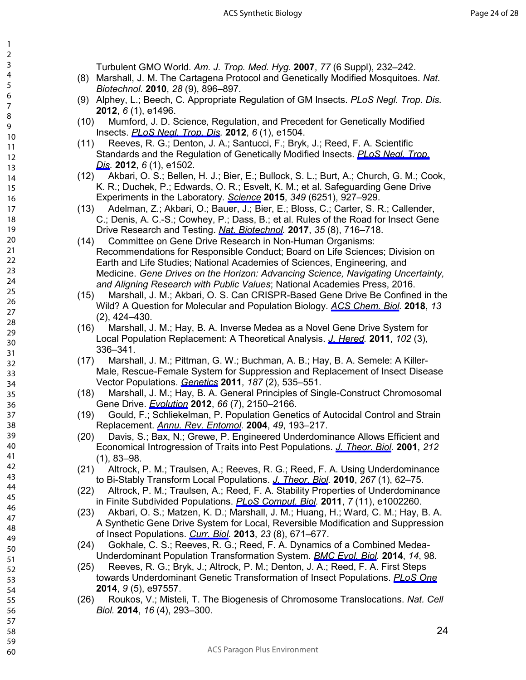Turbulent GMO World. *Am. J. Trop. Med. Hyg.* **2007**, *77* (6 Suppl), 232–242.

- (8) Marshall, J. M. The Cartagena Protocol and Genetically Modified Mosquitoes. *Nat. Biotechnol.* **2010**, *28* (9), 896–897.
- (9) Alphey, L.; Beech, C. Appropriate Regulation of GM Insects. *PLoS Negl. Trop. Dis.* **2012**, *6* (1), e1496.
- (10) Mumford, J. D. Science, Regulation, and Precedent for Genetically Modified Insects. *[PLoS Negl. Trop. Dis](http://pubs.acs.org/action/showLinks?pmid=22303497&crossref=10.1371%2Fjournal.pntd.0001504&citationId=p_n_21_1).* **2012**, *6* (1), e1504.
- (11) Reeves, R. G.; Denton, J. A.; Santucci, F.; Bryk, J.; Reed, F. A. Scientific Standards and the Regulation of Genetically Modified Insects. *[PLoS Negl. Trop.](http://pubs.acs.org/action/showLinks?pmid=22319640&crossref=10.1371%2Fjournal.pntd.0001502&citationId=p_n_23_1) [Dis.](http://pubs.acs.org/action/showLinks?pmid=22319640&crossref=10.1371%2Fjournal.pntd.0001502&citationId=p_n_23_1)* **2012**, *6* (1), e1502.
- (12) Akbari, O. S.; Bellen, H. J.; Bier, E.; Bullock, S. L.; Burt, A.; Church, G. M.; Cook, K. R.; Duchek, P.; Edwards, O. R.; Esvelt, K. M.; et al. Safeguarding Gene Drive Experiments in the Laboratory. *[Science](http://pubs.acs.org/action/showLinks?pmid=26229113&crossref=10.1126%2Fscience.aac7932&coi=1%3ACAS%3A528%3ADC%252BC2MXhsVSmu7bO&citationId=p_n_25_1)* **2015**, *349* (6251), 927–929.
- (13) Adelman, Z.; Akbari, O.; Bauer, J.; Bier, E.; Bloss, C.; Carter, S. R.; Callender, C.; Denis, A. C.-S.; Cowhey, P.; Dass, B.; et al. Rules of the Road for Insect Gene Drive Research and Testing. *[Nat. Biotechnol](http://pubs.acs.org/action/showLinks?pmid=28787415&crossref=10.1038%2Fnbt.3926&coi=1%3ACAS%3A280%3ADC%252BC1cflsFSksA%253D%253D&citationId=p_n_27_1).* **2017**, *35* (8), 716–718.
- (14) Committee on Gene Drive Research in Non-Human Organisms: Recommendations for Responsible Conduct; Board on Life Sciences; Division on Earth and Life Studies; National Academies of Sciences, Engineering, and Medicine. *Gene Drives on the Horizon: Advancing Science, Navigating Uncertainty, and Aligning Research with Public Values*; National Academies Press, 2016.
- (15) Marshall, J. M.; Akbari, O. S. Can CRISPR-Based Gene Drive Be Confined in the Wild? A Question for Molecular and Population Biology. *[ACS Chem. Biol.](http://pubs.acs.org/action/showLinks?system=10.1021%2Facschembio.7b00923&citationId=p_n_31_1)* **2018**, *13* (2), 424–430.
- (16) Marshall, J. M.; Hay, B. A. Inverse Medea as a Novel Gene Drive System for Local Population Replacement: A Theoretical Analysis. *[J. Hered.](http://pubs.acs.org/action/showLinks?pmid=21493596&crossref=10.1093%2Fjhered%2Fesr019&citationId=p_n_33_1)* **2011**, *102* (3), 336–341.
- (17) Marshall, J. M.; Pittman, G. W.; Buchman, A. B.; Hay, B. A. Semele: A Killer-Male, Rescue-Female System for Suppression and Replacement of Insect Disease Vector Populations. *[Genetics](http://pubs.acs.org/action/showLinks?pmid=21078687&crossref=10.1534%2Fgenetics.110.124479&citationId=p_n_35_1)* **2011**, *187* (2), 535–551.
- (18) Marshall, J. M.; Hay, B. A. General Principles of Single-Construct Chromosomal Gene Drive. *[Evolution](http://pubs.acs.org/action/showLinks?pmid=22759292&crossref=10.1111%2Fj.1558-5646.2012.01582.x&citationId=p_n_37_1)* **2012**, *66* (7), 2150–2166.
- (19) Gould, F.; Schliekelman, P. Population Genetics of Autocidal Control and Strain Replacement. *[Annu. Rev. Entomol.](http://pubs.acs.org/action/showLinks?pmid=14651462&crossref=10.1146%2Fannurev.ento.49.061802.123344&citationId=p_n_39_1)* **2004**, *49*, 193–217.
- (20) Davis, S.; Bax, N.; Grewe, P. Engineered Underdominance Allows Efficient and Economical Introgression of Traits into Pest Populations. *[J. Theor. Biol.](http://pubs.acs.org/action/showLinks?pmid=11527447&crossref=10.1006%2Fjtbi.2001.2357&citationId=p_n_41_1)* **2001**, *212* (1), 83–98.
- (21) Altrock, P. M.; Traulsen, A.; Reeves, R. G.; Reed, F. A. Using Underdominance to Bi-Stably Transform Local Populations. *[J. Theor. Biol](http://pubs.acs.org/action/showLinks?pmid=20691703&crossref=10.1016%2Fj.jtbi.2010.08.004&citationId=p_n_43_1).* **2010**, *267* (1), 62–75.
- (22) Altrock, P. M.; Traulsen, A.; Reed, F. A. Stability Properties of Underdominance in Finite Subdivided Populations. *[PLoS Comput. Biol.](http://pubs.acs.org/action/showLinks?pmid=22072956&crossref=10.1371%2Fjournal.pcbi.1002260&citationId=p_n_45_1)* **2011**, *7* (11), e1002260.
- (23) Akbari, O. S.; Matzen, K. D.; Marshall, J. M.; Huang, H.; Ward, C. M.; Hay, B. A. A Synthetic Gene Drive System for Local, Reversible Modification and Suppression of Insect Populations. *[Curr. Biol](http://pubs.acs.org/action/showLinks?pmid=23541732&crossref=10.1016%2Fj.cub.2013.02.059&citationId=p_n_47_1).* **2013**, *23* (8), 671–677.
- (24) Gokhale, C. S.; Reeves, R. G.; Reed, F. A. Dynamics of a Combined Medea-Underdominant Population Transformation System. *[BMC Evol. Biol.](http://pubs.acs.org/action/showLinks?pmid=24884575&crossref=10.1186%2F1471-2148-14-98&citationId=p_n_49_1)* **2014**, *14*, 98.
- (25) Reeves, R. G.; Bryk, J.; Altrock, P. M.; Denton, J. A.; Reed, F. A. First Steps towards Underdominant Genetic Transformation of Insect Populations. *[PLoS One](http://pubs.acs.org/action/showLinks?pmid=24844466&crossref=10.1371%2Fjournal.pone.0097557&citationId=p_n_51_1)* **2014**, *9* (5), e97557.
- (26) Roukos, V.; Misteli, T. The Biogenesis of Chromosome Translocations. *Nat. Cell Biol.* **2014**, *16* (4), 293–300.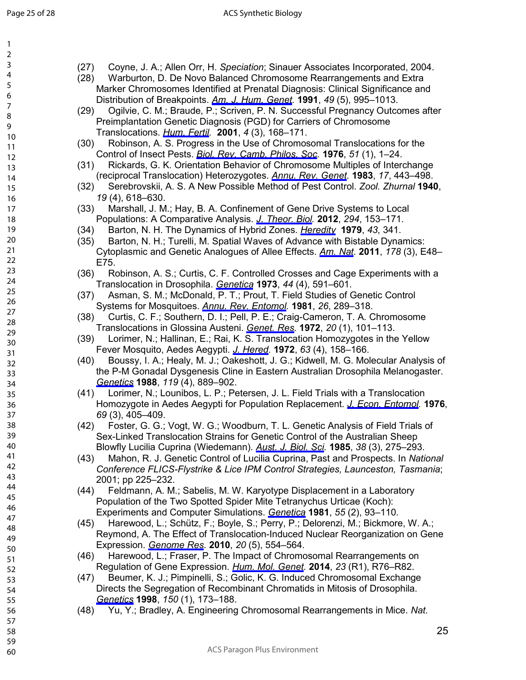| 1<br>$\begin{array}{c} 2 \\ 3 \\ 4 \end{array}$<br>567                  |  |
|-------------------------------------------------------------------------|--|
| 8<br>9<br>10<br>11<br>12                                                |  |
| 13<br>$\overline{14}$<br>15<br>16<br>17<br>18                           |  |
| 19<br>20<br>$\overline{21}$<br>$\overline{22}$<br>$\overline{23}$<br>24 |  |
| 25<br>26<br>27<br>28<br>29<br>30                                        |  |
| 31<br>32<br>33<br>34<br>35<br>36                                        |  |
| 37<br>38<br>39<br>40<br>41                                              |  |
| 42<br>43<br>44<br>45<br>46<br>47                                        |  |
| 48<br>49<br>50<br>51<br>52<br>53                                        |  |
| 54<br>55<br>56<br>57<br>58<br>59                                        |  |
| 60                                                                      |  |

| (27) Coyne, J. A.; Allen Orr, H. Speciation; Sinauer Associates Incorporated, 2004. |  |  |  |  |
|-------------------------------------------------------------------------------------|--|--|--|--|
|-------------------------------------------------------------------------------------|--|--|--|--|

- (28) Warburton, D. De Novo Balanced Chromosome Rearrangements and Extra Marker Chromosomes Identified at Prenatal Diagnosis: Clinical Significance and Distribution of Breakpoints. *[Am. J. Hum. Genet](http://pubs.acs.org/action/showLinks?pmid=1928105&citationId=p_n_57_1).* **1991**, *49* (5), 995–1013.
- (29) Ogilvie, C. M.; Braude, P.; Scriven, P. N. Successful Pregnancy Outcomes after Preimplantation Genetic Diagnosis (PGD) for Carriers of Chromosome Translocations. *[Hum. Fertil.](http://pubs.acs.org/action/showLinks?crossref=10.1080%2F1464727012000199252&citationId=p_n_59_1)* **2001**, *4* (3), 168–171.
- (30) Robinson, A. S. Progress in the Use of Chromosomal Translocations for the Control of Insect Pests. *[Biol. Rev. Camb. Philos. Soc](http://pubs.acs.org/action/showLinks?pmid=3229&crossref=10.1111%2Fj.1469-185X.1976.tb01118.x&citationId=p_n_61_1).* **1976**, *51* (1), 1–24.
- (31) Rickards, G. K. Orientation Behavior of Chromosome Multiples of Interchange (reciprocal Translocation) Heterozygotes. *[Annu. Rev. Genet.](http://pubs.acs.org/action/showLinks?pmid=6364963&crossref=10.1146%2Fannurev.ge.17.120183.002303&citationId=p_n_63_1)* **1983**, *17*, 443–498.
- (32) Serebrovskii, A. S. A New Possible Method of Pest Control. *Zool. Zhurnal* **1940**, *19* (4), 618–630.
- (33) Marshall, J. M.; Hay, B. A. Confinement of Gene Drive Systems to Local Populations: A Comparative Analysis. *[J. Theor. Biol](http://pubs.acs.org/action/showLinks?pmid=22094363&crossref=10.1016%2Fj.jtbi.2011.10.032&citationId=p_n_67_1).* **2012**, *294*, 153–171.
- (34) Barton, N. H. The Dynamics of Hybrid Zones. *[Heredity](http://pubs.acs.org/action/showLinks?crossref=10.1038%2Fhdy.1979.87&citationId=p_n_68_1)* **1979**, *43*, 341.
- (35) Barton, N. H.; Turelli, M. Spatial Waves of Advance with Bistable Dynamics: Cytoplasmic and Genetic Analogues of Allee Effects. *[Am. Nat.](http://pubs.acs.org/action/showLinks?pmid=21828986&crossref=10.1086%2F661246&citationId=p_n_70_1)* **2011**, *178* (3), E48– E75.
- (36) Robinson, A. S.; Curtis, C. F. Controlled Crosses and Cage Experiments with a Translocation in Drosophila. *[Genetica](http://pubs.acs.org/action/showLinks?crossref=10.1007%2FBF00116813&citationId=p_n_72_1)* **1973**, *44* (4), 591–601.
- (37) Asman, S. M.; McDonald, P. T.; Prout, T. Field Studies of Genetic Control Systems for Mosquitoes. *[Annu. Rev. Entomol](http://pubs.acs.org/action/showLinks?pmid=6115614&crossref=10.1146%2Fannurev.en.26.010181.001445&citationId=p_n_74_1).* **1981**, *26*, 289–318.
- (38) Curtis, C. F.; Southern, D. I.; Pell, P. E.; Craig-Cameron, T. A. Chromosome Translocations in Glossina Austeni. *[Genet. Res.](http://pubs.acs.org/action/showLinks?pmid=4673473&crossref=10.1017%2FS0016672300013616&citationId=p_n_76_1)* **1972**, *20* (1), 101–113.
- (39) Lorimer, N.; Hallinan, E.; Rai, K. S. Translocation Homozygotes in the Yellow Fever Mosquito, Aedes Aegypti. *[J. Hered.](http://pubs.acs.org/action/showLinks?pmid=4672742&citationId=p_n_78_1)* **1972**, *63* (4), 158–166.
- (40) Boussy, I. A.; Healy, M. J.; Oakeshott, J. G.; Kidwell, M. G. Molecular Analysis of the P-M Gonadal Dysgenesis Cline in Eastern Australian Drosophila Melanogaster. *[Genetics](http://pubs.acs.org/action/showLinks?pmid=2842226&citationId=p_n_80_1)* **1988**, *119* (4), 889–902.
- (41) Lorimer, N.; Lounibos, L. P.; Petersen, J. L. Field Trials with a Translocation Homozygote in Aedes Aegypti for Population Replacement. *[J. Econ. Entomol](http://pubs.acs.org/action/showLinks?pmid=956496&crossref=10.1093%2Fjee%2F69.3.405&citationId=p_n_82_1).* **1976**, *69* (3), 405–409.
- (42) Foster, G. G.; Vogt, W. G.; Woodburn, T. L. Genetic Analysis of Field Trials of Sex-Linked Translocation Strains for Genetic Control of the Australian Sheep Blowfly Lucilia Cuprina (Wiedemann). *[Aust. J. Biol. Sci](http://pubs.acs.org/action/showLinks?pmid=4091755&crossref=10.1071%2FBI9850275&citationId=p_n_84_1).* **1985**, *38* (3), 275–293.
- (43) Mahon, R. J. Genetic Control of Lucilia Cuprina, Past and Prospects. In *National Conference FLICS-Flystrike & Lice IPM Control Strategies, Launceston, Tasmania*; 2001; pp 225–232.
- (44) Feldmann, A. M.; Sabelis, M. W. Karyotype Displacement in a Laboratory Population of the Two Spotted Spider Mite Tetranychus Urticae (Koch): Experiments and Computer Simulations. *[Genetica](http://pubs.acs.org/action/showLinks?crossref=10.1007%2FBF00135103&citationId=p_n_88_1)* **1981**, *55* (2), 93–110.
- (45) Harewood, L.; Schütz, F.; Boyle, S.; Perry, P.; Delorenzi, M.; Bickmore, W. A.; Reymond, A. The Effect of Translocation-Induced Nuclear Reorganization on Gene Expression. *[Genome Res](http://pubs.acs.org/action/showLinks?pmid=20212020&crossref=10.1101%2Fgr.103622.109&coi=1%3ACAS%3A528%3ADC%252BC3cXlslyis74%253D&citationId=p_n_90_1).* **2010**, *20* (5), 554–564.
- (46) Harewood, L.; Fraser, P. The Impact of Chromosomal Rearrangements on Regulation of Gene Expression. *[Hum. Mol. Genet.](http://pubs.acs.org/action/showLinks?pmid=24907073&crossref=10.1093%2Fhmg%2Fddu278&citationId=p_n_92_1)* **2014**, *23* (R1), R76–R82.
- (47) Beumer, K. J.; Pimpinelli, S.; Golic, K. G. Induced Chromosomal Exchange Directs the Segregation of Recombinant Chromatids in Mitosis of Drosophila. *[Genetics](http://pubs.acs.org/action/showLinks?pmid=9725837&citationId=p_n_94_1)* **1998**, *150* (1), 173–188.
- (48) Yu, Y.; Bradley, A. Engineering Chromosomal Rearrangements in Mice. *Nat.*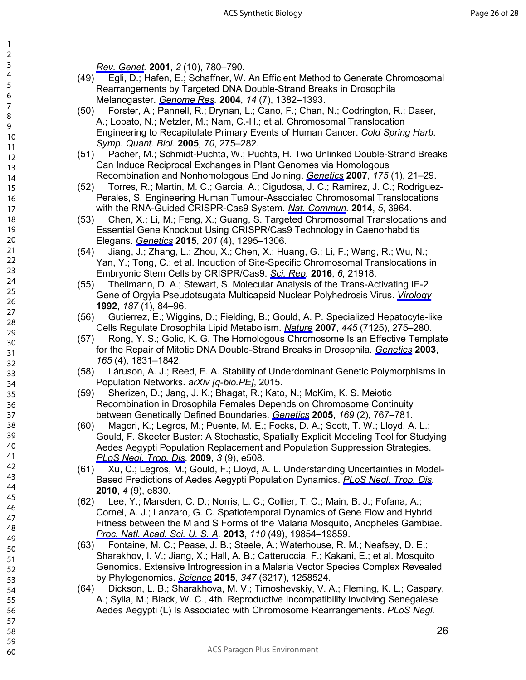*[Rev. Genet.](http://pubs.acs.org/action/showLinks?crossref=10.1038%2F35093564&citationId=p_n_96_1)* **2001**, *2* (10), 780–790.

- (49) Egli, D.; Hafen, E.; Schaffner, W. An Efficient Method to Generate Chromosomal Rearrangements by Targeted DNA Double-Strand Breaks in Drosophila Melanogaster. *[Genome Res.](http://pubs.acs.org/action/showLinks?pmid=15197166&crossref=10.1101%2Fgr.2279804&citationId=p_n_98_1)* **2004**, *14* (7), 1382–1393.
- (50) Forster, A.; Pannell, R.; Drynan, L.; Cano, F.; Chan, N.; Codrington, R.; Daser, A.; Lobato, N.; Metzler, M.; Nam, C.-H.; et al. Chromosomal Translocation Engineering to Recapitulate Primary Events of Human Cancer. *Cold Spring Harb. Symp. Quant. Biol.* **2005**, *70*, 275–282.
- (51) Pacher, M.; Schmidt-Puchta, W.; Puchta, H. Two Unlinked Double-Strand Breaks Can Induce Reciprocal Exchanges in Plant Genomes via Homologous Recombination and Nonhomologous End Joining. *[Genetics](http://pubs.acs.org/action/showLinks?pmid=17057227&citationId=p_n_102_1)* **2007**, *175* (1), 21–29.
- (52) Torres, R.; Martin, M. C.; Garcia, A.; Cigudosa, J. C.; Ramirez, J. C.; Rodriguez-Perales, S. Engineering Human Tumour-Associated Chromosomal Translocations with the RNA-Guided CRISPR-Cas9 System. *[Nat. Commun](http://pubs.acs.org/action/showLinks?pmid=24888982&citationId=p_n_104_1).* **2014**, *5*, 3964.
- (53) Chen, X.; Li, M.; Feng, X.; Guang, S. Targeted Chromosomal Translocations and Essential Gene Knockout Using CRISPR/Cas9 Technology in Caenorhabditis Elegans. *[Genetics](http://pubs.acs.org/action/showLinks?pmid=26482793&crossref=10.1534%2Fgenetics.115.181883&citationId=p_n_106_1)* **2015**, *201* (4), 1295–1306.
- (54) Jiang, J.; Zhang, L.; Zhou, X.; Chen, X.; Huang, G.; Li, F.; Wang, R.; Wu, N.; Yan, Y.; Tong, C.; et al. Induction of Site-Specific Chromosomal Translocations in Embryonic Stem Cells by CRISPR/Cas9. *[Sci. Rep.](http://pubs.acs.org/action/showLinks?pmid=26898344&crossref=10.1038%2Fsrep21918&coi=1%3ACAS%3A528%3ADC%252BC28XivFKgsb0%253D&citationId=p_n_108_1)* **2016**, *6*, 21918.
- (55) Theilmann, D. A.; Stewart, S. Molecular Analysis of the Trans-Activating IE-2 Gene of Orgyia Pseudotsugata Multicapsid Nuclear Polyhedrosis Virus. *[Virology](http://pubs.acs.org/action/showLinks?pmid=1736546&crossref=10.1016%2F0042-6822%2892%2990297-3&citationId=p_n_110_1)* **1992**, *187* (1), 84–96.
- (56) Gutierrez, E.; Wiggins, D.; Fielding, B.; Gould, A. P. Specialized Hepatocyte-like Cells Regulate Drosophila Lipid Metabolism. *[Nature](http://pubs.acs.org/action/showLinks?pmid=17136098&crossref=10.1038%2Fnature05382&citationId=p_n_112_1)* **2007**, *445* (7125), 275–280.
- (57) Rong, Y. S.; Golic, K. G. The Homologous Chromosome Is an Effective Template for the Repair of Mitotic DNA Double-Strand Breaks in Drosophila. *[Genetics](http://pubs.acs.org/action/showLinks?pmid=14704169&citationId=p_n_114_1)* **2003**, *165* (4), 1831–1842.
- (58) Láruson, Á. J.; Reed, F. A. Stability of Underdominant Genetic Polymorphisms in Population Networks. *arXiv [q-bio.PE]*, 2015.
- (59) Sherizen, D.; Jang, J. K.; Bhagat, R.; Kato, N.; McKim, K. S. Meiotic Recombination in Drosophila Females Depends on Chromosome Continuity between Genetically Defined Boundaries. *[Genetics](http://pubs.acs.org/action/showLinks?pmid=15545646&crossref=10.1534%2Fgenetics.104.035824&citationId=p_n_118_1)* **2005**, *169* (2), 767–781.
- (60) Magori, K.; Legros, M.; Puente, M. E.; Focks, D. A.; Scott, T. W.; Lloyd, A. L.; Gould, F. Skeeter Buster: A Stochastic, Spatially Explicit Modeling Tool for Studying Aedes Aegypti Population Replacement and Population Suppression Strategies. *[PLoS Negl. Trop. Dis](http://pubs.acs.org/action/showLinks?pmid=19721700&crossref=10.1371%2Fjournal.pntd.0000508&citationId=p_n_120_1).* **2009**, *3* (9), e508.
- (61) Xu, C.; Legros, M.; Gould, F.; Lloyd, A. L. Understanding Uncertainties in Model-Based Predictions of Aedes Aegypti Population Dynamics. *[PLoS Negl. Trop. Dis.](http://pubs.acs.org/action/showLinks?pmid=20927187&crossref=10.1371%2Fjournal.pntd.0000830&citationId=p_n_122_1)* **2010**, *4* (9), e830.
- (62) Lee, Y.; Marsden, C. D.; Norris, L. C.; Collier, T. C.; Main, B. J.; Fofana, A.; Cornel, A. J.; Lanzaro, G. C. Spatiotemporal Dynamics of Gene Flow and Hybrid Fitness between the M and S Forms of the Malaria Mosquito, Anopheles Gambiae. *[Proc. Natl. Acad. Sci. U. S. A.](http://pubs.acs.org/action/showLinks?pmid=24248386&crossref=10.1073%2Fpnas.1316851110&coi=1%3ACAS%3A528%3ADC%252BC3sXhvFKms73E&citationId=p_n_124_1)* **2013**, *110* (49), 19854–19859.
- (63) Fontaine, M. C.; Pease, J. B.; Steele, A.; Waterhouse, R. M.; Neafsey, D. E.; Sharakhov, I. V.; Jiang, X.; Hall, A. B.; Catteruccia, F.; Kakani, E.; et al. Mosquito Genomics. Extensive Introgression in a Malaria Vector Species Complex Revealed by Phylogenomics. *[Science](http://pubs.acs.org/action/showLinks?pmid=25431491&crossref=10.1126%2Fscience.1258524&coi=1%3ACAS%3A280%3ADC%252BC2Mzht12ltw%253D%253D&citationId=p_n_126_1)* **2015**, *347* (6217), 1258524.
- (64) Dickson, L. B.; Sharakhova, M. V.; Timoshevskiy, V. A.; Fleming, K. L.; Caspary, A.; Sylla, M.; Black, W. C., 4th. Reproductive Incompatibility Involving Senegalese Aedes Aegypti (L) Is Associated with Chromosome Rearrangements. *PLoS Negl.*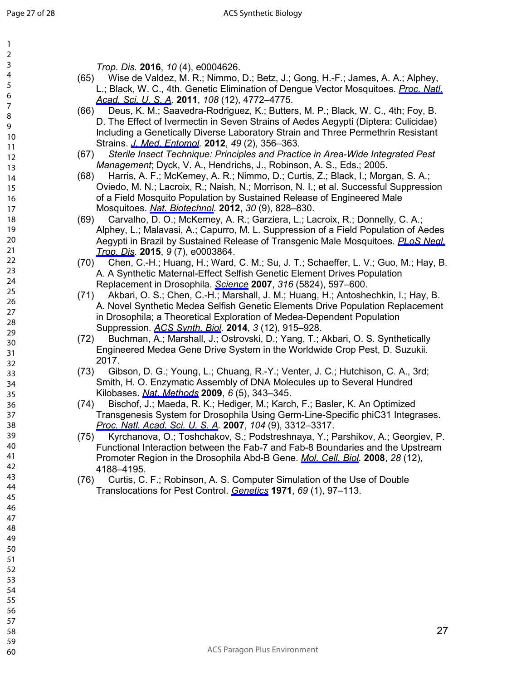*Trop. Dis.* **2016**, *10* (4), e0004626.

- (65) Wise de Valdez, M. R.; Nimmo, D.; Betz, J.; Gong, H.-F.; James, A. A.; Alphey, L.; Black, W. C., 4th. Genetic Elimination of Dengue Vector Mosquitoes. *[Proc. Natl.](http://pubs.acs.org/action/showLinks?pmid=21383140&crossref=10.1073%2Fpnas.1019295108&coi=1%3ACAS%3A528%3ADC%252BC3MXktVSlur0%253D&citationId=p_n_131_1)  [Acad. Sci. U. S. A.](http://pubs.acs.org/action/showLinks?pmid=21383140&crossref=10.1073%2Fpnas.1019295108&coi=1%3ACAS%3A528%3ADC%252BC3MXktVSlur0%253D&citationId=p_n_131_1)* **2011**, *108* (12), 4772–4775.
- (66) Deus, K. M.; Saavedra-Rodriguez, K.; Butters, M. P.; Black, W. C., 4th; Foy, B. D. The Effect of Ivermectin in Seven Strains of Aedes Aegypti (Diptera: Culicidae) Including a Genetically Diverse Laboratory Strain and Three Permethrin Resistant Strains. *[J. Med. Entomol.](http://pubs.acs.org/action/showLinks?pmid=22493855&crossref=10.1603%2FME11164&citationId=p_n_133_1)* **2012**, *49* (2), 356–363.
- (67) *Sterile Insect Technique: Principles and Practice in Area-Wide Integrated Pest Management*; Dyck, V. A., Hendrichs, J., Robinson, A. S., Eds.; 2005.
- (68) Harris, A. F.; McKemey, A. R.; Nimmo, D.; Curtis, Z.; Black, I.; Morgan, S. A.; Oviedo, M. N.; Lacroix, R.; Naish, N.; Morrison, N. I.; et al. Successful Suppression of a Field Mosquito Population by Sustained Release of Engineered Male Mosquitoes. *[Nat. Biotechnol.](http://pubs.acs.org/action/showLinks?pmid=22965050&crossref=10.1038%2Fnbt.2350&coi=1%3ACAS%3A528%3ADC%252BC38Xhtlamu73M&citationId=p_n_137_1)* **2012**, *30* (9), 828–830.
- (69) Carvalho, D. O.; McKemey, A. R.; Garziera, L.; Lacroix, R.; Donnelly, C. A.; Alphey, L.; Malavasi, A.; Capurro, M. L. Suppression of a Field Population of Aedes Aegypti in Brazil by Sustained Release of Transgenic Male Mosquitoes. *[PLoS Negl.](http://pubs.acs.org/action/showLinks?pmid=26135160&citationId=p_n_139_1)  [Trop. Dis.](http://pubs.acs.org/action/showLinks?pmid=26135160&citationId=p_n_139_1)* **2015**, *9* (7), e0003864.
- (70) Chen, C.-H.; Huang, H.; Ward, C. M.; Su, J. T.; Schaeffer, L. V.; Guo, M.; Hay, B. A. A Synthetic Maternal-Effect Selfish Genetic Element Drives Population Replacement in Drosophila. *[Science](http://pubs.acs.org/action/showLinks?pmid=17395794&crossref=10.1126%2Fscience.+1138595&citationId=p_n_141_1)* **2007**, *316* (5824), 597–600.
- (71) Akbari, O. S.; Chen, C.-H.; Marshall, J. M.; Huang, H.; Antoshechkin, I.; Hay, B. A. Novel Synthetic Medea Selfish Genetic Elements Drive Population Replacement in Drosophila; a Theoretical Exploration of Medea-Dependent Population Suppression. *[ACS Synth. Biol.](http://pubs.acs.org/action/showLinks?system=10.1021%2Fsb300079h&citationId=p_n_143_1)* **2014**, *3* (12), 915–928.
- (72) Buchman, A.; Marshall, J.; Ostrovski, D.; Yang, T.; Akbari, O. S. Synthetically Engineered Medea Gene Drive System in the Worldwide Crop Pest, D. Suzukii. 2017.
- (73) Gibson, D. G.; Young, L.; Chuang, R.-Y.; Venter, J. C.; Hutchison, C. A., 3rd; Smith, H. O. Enzymatic Assembly of DNA Molecules up to Several Hundred Kilobases. *[Nat. Methods](http://pubs.acs.org/action/showLinks?pmid=19363495&crossref=10.1038%2Fnmeth.1318&coi=1%3ACAS%3A528%3ADC%252BD1MXksVemsbw%253D&citationId=p_n_147_1)* **2009**, *6* (5), 343–345.
- (74) Bischof, J.; Maeda, R. K.; Hediger, M.; Karch, F.; Basler, K. An Optimized Transgenesis System for Drosophila Using Germ-Line-Specific phiC31 Integrases. *[Proc. Natl. Acad. Sci. U. S. A.](http://pubs.acs.org/action/showLinks?pmid=17360644&crossref=10.1073%2Fpnas.0611511104&citationId=p_n_149_1)* **2007**, *104* (9), 3312–3317.
- (75) Kyrchanova, O.; Toshchakov, S.; Podstreshnaya, Y.; Parshikov, A.; Georgiev, P. Functional Interaction between the Fab-7 and Fab-8 Boundaries and the Upstream Promoter Region in the Drosophila Abd-B Gene. *[Mol. Cell. Biol.](http://pubs.acs.org/action/showLinks?pmid=18426914&crossref=10.1128%2FMCB.00229-08&citationId=p_n_151_1)* **2008**, *28* (12), 4188–4195.
- (76) Curtis, C. F.; Robinson, A. S. Computer Simulation of the Use of Double Translocations for Pest Control. *[Genetics](http://pubs.acs.org/action/showLinks?pmid=5167305&citationId=p_n_153_1)* **1971**, *69* (1), 97–113.